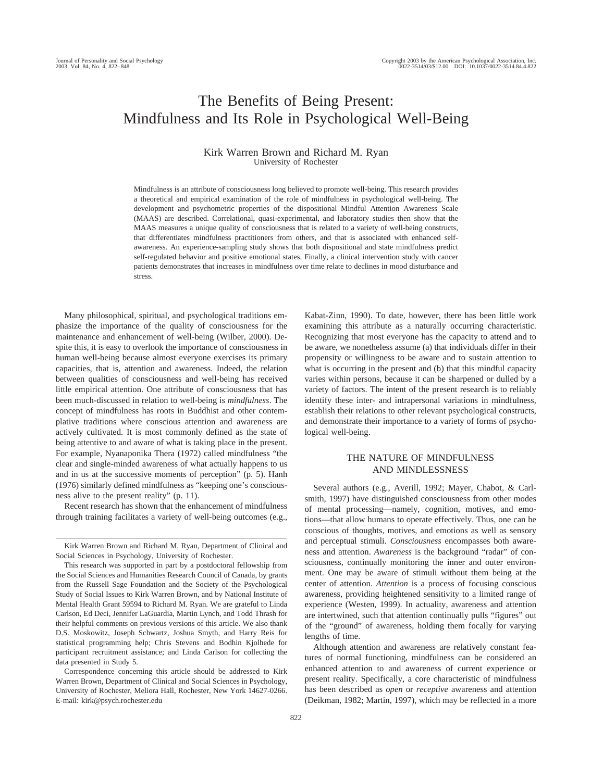# The Benefits of Being Present: Mindfulness and Its Role in Psychological Well-Being

# Kirk Warren Brown and Richard M. Ryan University of Rochester

Mindfulness is an attribute of consciousness long believed to promote well-being. This research provides a theoretical and empirical examination of the role of mindfulness in psychological well-being. The development and psychometric properties of the dispositional Mindful Attention Awareness Scale (MAAS) are described. Correlational, quasi-experimental, and laboratory studies then show that the MAAS measures a unique quality of consciousness that is related to a variety of well-being constructs, that differentiates mindfulness practitioners from others, and that is associated with enhanced selfawareness. An experience-sampling study shows that both dispositional and state mindfulness predict self-regulated behavior and positive emotional states. Finally, a clinical intervention study with cancer patients demonstrates that increases in mindfulness over time relate to declines in mood disturbance and stress.

Many philosophical, spiritual, and psychological traditions emphasize the importance of the quality of consciousness for the maintenance and enhancement of well-being (Wilber, 2000). Despite this, it is easy to overlook the importance of consciousness in human well-being because almost everyone exercises its primary capacities, that is, attention and awareness. Indeed, the relation between qualities of consciousness and well-being has received little empirical attention. One attribute of consciousness that has been much-discussed in relation to well-being is *mindfulness*. The concept of mindfulness has roots in Buddhist and other contemplative traditions where conscious attention and awareness are actively cultivated. It is most commonly defined as the state of being attentive to and aware of what is taking place in the present. For example, Nyanaponika Thera (1972) called mindfulness "the clear and single-minded awareness of what actually happens to us and in us at the successive moments of perception" (p. 5). Hanh (1976) similarly defined mindfulness as "keeping one's consciousness alive to the present reality" (p. 11).

Recent research has shown that the enhancement of mindfulness through training facilitates a variety of well-being outcomes (e.g.,

Correspondence concerning this article should be addressed to Kirk Warren Brown, Department of Clinical and Social Sciences in Psychology, University of Rochester, Meliora Hall, Rochester, New York 14627-0266. E-mail: kirk@psych.rochester.edu

Kabat-Zinn, 1990). To date, however, there has been little work examining this attribute as a naturally occurring characteristic. Recognizing that most everyone has the capacity to attend and to be aware, we nonetheless assume (a) that individuals differ in their propensity or willingness to be aware and to sustain attention to what is occurring in the present and (b) that this mindful capacity varies within persons, because it can be sharpened or dulled by a variety of factors. The intent of the present research is to reliably identify these inter- and intrapersonal variations in mindfulness, establish their relations to other relevant psychological constructs, and demonstrate their importance to a variety of forms of psychological well-being.

# THE NATURE OF MINDFULNESS AND MINDLESSNESS

Several authors (e.g., Averill, 1992; Mayer, Chabot, & Carlsmith, 1997) have distinguished consciousness from other modes of mental processing—namely, cognition, motives, and emotions—that allow humans to operate effectively. Thus, one can be conscious of thoughts, motives, and emotions as well as sensory and perceptual stimuli. *Consciousness* encompasses both awareness and attention. *Awareness* is the background "radar" of consciousness, continually monitoring the inner and outer environment. One may be aware of stimuli without them being at the center of attention. *Attention* is a process of focusing conscious awareness, providing heightened sensitivity to a limited range of experience (Westen, 1999). In actuality, awareness and attention are intertwined, such that attention continually pulls "figures" out of the "ground" of awareness, holding them focally for varying lengths of time.

Although attention and awareness are relatively constant features of normal functioning, mindfulness can be considered an enhanced attention to and awareness of current experience or present reality. Specifically, a core characteristic of mindfulness has been described as *open* or *receptive* awareness and attention (Deikman, 1982; Martin, 1997), which may be reflected in a more

Kirk Warren Brown and Richard M. Ryan, Department of Clinical and Social Sciences in Psychology, University of Rochester.

This research was supported in part by a postdoctoral fellowship from the Social Sciences and Humanities Research Council of Canada, by grants from the Russell Sage Foundation and the Society of the Psychological Study of Social Issues to Kirk Warren Brown, and by National Institute of Mental Health Grant 59594 to Richard M. Ryan. We are grateful to Linda Carlson, Ed Deci, Jennifer LaGuardia, Martin Lynch, and Todd Thrash for their helpful comments on previous versions of this article. We also thank D.S. Moskowitz, Joseph Schwartz, Joshua Smyth, and Harry Reis for statistical programming help; Chris Stevens and Bodhin Kjolhede for participant recruitment assistance; and Linda Carlson for collecting the data presented in Study 5.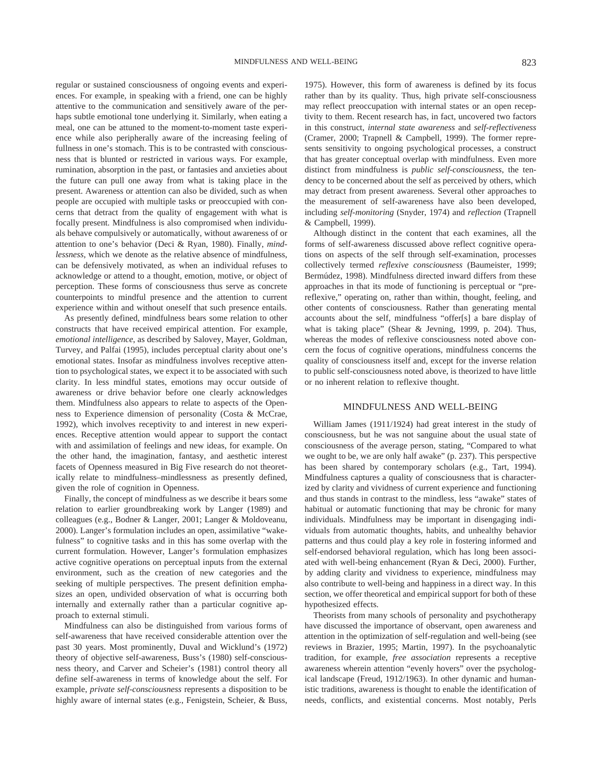regular or sustained consciousness of ongoing events and experiences. For example, in speaking with a friend, one can be highly attentive to the communication and sensitively aware of the perhaps subtle emotional tone underlying it. Similarly, when eating a meal, one can be attuned to the moment-to-moment taste experience while also peripherally aware of the increasing feeling of fullness in one's stomach. This is to be contrasted with consciousness that is blunted or restricted in various ways. For example, rumination, absorption in the past, or fantasies and anxieties about the future can pull one away from what is taking place in the present. Awareness or attention can also be divided, such as when people are occupied with multiple tasks or preoccupied with concerns that detract from the quality of engagement with what is focally present. Mindfulness is also compromised when individuals behave compulsively or automatically, without awareness of or attention to one's behavior (Deci & Ryan, 1980). Finally, *mindlessness*, which we denote as the relative absence of mindfulness, can be defensively motivated, as when an individual refuses to acknowledge or attend to a thought, emotion, motive, or object of perception. These forms of consciousness thus serve as concrete counterpoints to mindful presence and the attention to current experience within and without oneself that such presence entails.

As presently defined, mindfulness bears some relation to other constructs that have received empirical attention. For example, *emotional intelligence*, as described by Salovey, Mayer, Goldman, Turvey, and Palfai (1995), includes perceptual clarity about one's emotional states. Insofar as mindfulness involves receptive attention to psychological states, we expect it to be associated with such clarity. In less mindful states, emotions may occur outside of awareness or drive behavior before one clearly acknowledges them. Mindfulness also appears to relate to aspects of the Openness to Experience dimension of personality (Costa & McCrae, 1992), which involves receptivity to and interest in new experiences. Receptive attention would appear to support the contact with and assimilation of feelings and new ideas, for example. On the other hand, the imagination, fantasy, and aesthetic interest facets of Openness measured in Big Five research do not theoretically relate to mindfulness–mindlessness as presently defined, given the role of cognition in Openness.

Finally, the concept of mindfulness as we describe it bears some relation to earlier groundbreaking work by Langer (1989) and colleagues (e.g., Bodner & Langer, 2001; Langer & Moldoveanu, 2000). Langer's formulation includes an open, assimilative "wakefulness" to cognitive tasks and in this has some overlap with the current formulation. However, Langer's formulation emphasizes active cognitive operations on perceptual inputs from the external environment, such as the creation of new categories and the seeking of multiple perspectives. The present definition emphasizes an open, undivided observation of what is occurring both internally and externally rather than a particular cognitive approach to external stimuli.

Mindfulness can also be distinguished from various forms of self-awareness that have received considerable attention over the past 30 years. Most prominently, Duval and Wicklund's (1972) theory of objective self-awareness, Buss's (1980) self-consciousness theory, and Carver and Scheier's (1981) control theory all define self-awareness in terms of knowledge about the self. For example, *private self-consciousness* represents a disposition to be highly aware of internal states (e.g., Fenigstein, Scheier, & Buss, 1975). However, this form of awareness is defined by its focus rather than by its quality. Thus, high private self-consciousness may reflect preoccupation with internal states or an open receptivity to them. Recent research has, in fact, uncovered two factors in this construct, *internal state awareness* and *self-reflectiveness* (Cramer, 2000; Trapnell & Campbell, 1999). The former represents sensitivity to ongoing psychological processes, a construct that has greater conceptual overlap with mindfulness. Even more distinct from mindfulness is *public self-consciousness*, the tendency to be concerned about the self as perceived by others, which may detract from present awareness. Several other approaches to the measurement of self-awareness have also been developed, including *self-monitoring* (Snyder, 1974) and *reflection* (Trapnell & Campbell, 1999).

Although distinct in the content that each examines, all the forms of self-awareness discussed above reflect cognitive operations on aspects of the self through self-examination, processes collectively termed *reflexive consciousness* (Baumeister, 1999; Bermúdez, 1998). Mindfulness directed inward differs from these approaches in that its mode of functioning is perceptual or "prereflexive," operating on, rather than within, thought, feeling, and other contents of consciousness. Rather than generating mental accounts about the self, mindfulness "offer[s] a bare display of what is taking place" (Shear & Jevning, 1999, p. 204). Thus, whereas the modes of reflexive consciousness noted above concern the focus of cognitive operations, mindfulness concerns the quality of consciousness itself and, except for the inverse relation to public self-consciousness noted above, is theorized to have little or no inherent relation to reflexive thought.

# MINDFULNESS AND WELL-BEING

William James (1911/1924) had great interest in the study of consciousness, but he was not sanguine about the usual state of consciousness of the average person, stating, "Compared to what we ought to be, we are only half awake" (p. 237). This perspective has been shared by contemporary scholars (e.g., Tart, 1994). Mindfulness captures a quality of consciousness that is characterized by clarity and vividness of current experience and functioning and thus stands in contrast to the mindless, less "awake" states of habitual or automatic functioning that may be chronic for many individuals. Mindfulness may be important in disengaging individuals from automatic thoughts, habits, and unhealthy behavior patterns and thus could play a key role in fostering informed and self-endorsed behavioral regulation, which has long been associated with well-being enhancement (Ryan & Deci, 2000). Further, by adding clarity and vividness to experience, mindfulness may also contribute to well-being and happiness in a direct way. In this section, we offer theoretical and empirical support for both of these hypothesized effects.

Theorists from many schools of personality and psychotherapy have discussed the importance of observant, open awareness and attention in the optimization of self-regulation and well-being (see reviews in Brazier, 1995; Martin, 1997). In the psychoanalytic tradition, for example, *free association* represents a receptive awareness wherein attention "evenly hovers" over the psychological landscape (Freud, 1912/1963). In other dynamic and humanistic traditions, awareness is thought to enable the identification of needs, conflicts, and existential concerns. Most notably, Perls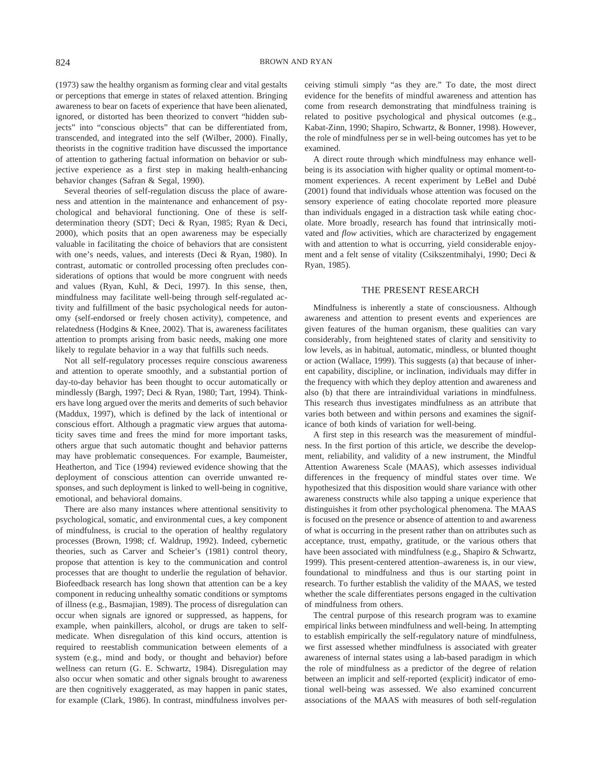(1973) saw the healthy organism as forming clear and vital gestalts or perceptions that emerge in states of relaxed attention. Bringing awareness to bear on facets of experience that have been alienated, ignored, or distorted has been theorized to convert "hidden subjects" into "conscious objects" that can be differentiated from, transcended, and integrated into the self (Wilber, 2000). Finally, theorists in the cognitive tradition have discussed the importance of attention to gathering factual information on behavior or subjective experience as a first step in making health-enhancing behavior changes (Safran & Segal, 1990).

Several theories of self-regulation discuss the place of awareness and attention in the maintenance and enhancement of psychological and behavioral functioning. One of these is selfdetermination theory (SDT; Deci & Ryan, 1985; Ryan & Deci, 2000), which posits that an open awareness may be especially valuable in facilitating the choice of behaviors that are consistent with one's needs, values, and interests (Deci & Ryan, 1980). In contrast, automatic or controlled processing often precludes considerations of options that would be more congruent with needs and values (Ryan, Kuhl, & Deci, 1997). In this sense, then, mindfulness may facilitate well-being through self-regulated activity and fulfillment of the basic psychological needs for autonomy (self-endorsed or freely chosen activity), competence, and relatedness (Hodgins & Knee, 2002). That is, awareness facilitates attention to prompts arising from basic needs, making one more likely to regulate behavior in a way that fulfills such needs.

Not all self-regulatory processes require conscious awareness and attention to operate smoothly, and a substantial portion of day-to-day behavior has been thought to occur automatically or mindlessly (Bargh, 1997; Deci & Ryan, 1980; Tart, 1994). Thinkers have long argued over the merits and demerits of such behavior (Maddux, 1997), which is defined by the lack of intentional or conscious effort. Although a pragmatic view argues that automaticity saves time and frees the mind for more important tasks, others argue that such automatic thought and behavior patterns may have problematic consequences. For example, Baumeister, Heatherton, and Tice (1994) reviewed evidence showing that the deployment of conscious attention can override unwanted responses, and such deployment is linked to well-being in cognitive, emotional, and behavioral domains.

There are also many instances where attentional sensitivity to psychological, somatic, and environmental cues, a key component of mindfulness, is crucial to the operation of healthy regulatory processes (Brown, 1998; cf. Waldrup, 1992). Indeed, cybernetic theories, such as Carver and Scheier's (1981) control theory, propose that attention is key to the communication and control processes that are thought to underlie the regulation of behavior. Biofeedback research has long shown that attention can be a key component in reducing unhealthy somatic conditions or symptoms of illness (e.g., Basmajian, 1989). The process of disregulation can occur when signals are ignored or suppressed, as happens, for example, when painkillers, alcohol, or drugs are taken to selfmedicate. When disregulation of this kind occurs, attention is required to reestablish communication between elements of a system (e.g., mind and body, or thought and behavior) before wellness can return (G. E. Schwartz, 1984). Disregulation may also occur when somatic and other signals brought to awareness are then cognitively exaggerated, as may happen in panic states, for example (Clark, 1986). In contrast, mindfulness involves perceiving stimuli simply "as they are." To date, the most direct evidence for the benefits of mindful awareness and attention has come from research demonstrating that mindfulness training is related to positive psychological and physical outcomes (e.g., Kabat-Zinn, 1990; Shapiro, Schwartz, & Bonner, 1998). However, the role of mindfulness per se in well-being outcomes has yet to be examined.

A direct route through which mindfulness may enhance wellbeing is its association with higher quality or optimal moment-tomoment experiences. A recent experiment by LeBel and Dubé (2001) found that individuals whose attention was focused on the sensory experience of eating chocolate reported more pleasure than individuals engaged in a distraction task while eating chocolate. More broadly, research has found that intrinsically motivated and *flow* activities, which are characterized by engagement with and attention to what is occurring, yield considerable enjoyment and a felt sense of vitality (Csikszentmihalyi, 1990; Deci & Ryan, 1985).

# THE PRESENT RESEARCH

Mindfulness is inherently a state of consciousness. Although awareness and attention to present events and experiences are given features of the human organism, these qualities can vary considerably, from heightened states of clarity and sensitivity to low levels, as in habitual, automatic, mindless, or blunted thought or action (Wallace, 1999). This suggests (a) that because of inherent capability, discipline, or inclination, individuals may differ in the frequency with which they deploy attention and awareness and also (b) that there are intraindividual variations in mindfulness. This research thus investigates mindfulness as an attribute that varies both between and within persons and examines the significance of both kinds of variation for well-being.

A first step in this research was the measurement of mindfulness. In the first portion of this article, we describe the development, reliability, and validity of a new instrument, the Mindful Attention Awareness Scale (MAAS), which assesses individual differences in the frequency of mindful states over time. We hypothesized that this disposition would share variance with other awareness constructs while also tapping a unique experience that distinguishes it from other psychological phenomena. The MAAS is focused on the presence or absence of attention to and awareness of what is occurring in the present rather than on attributes such as acceptance, trust, empathy, gratitude, or the various others that have been associated with mindfulness (e.g., Shapiro & Schwartz, 1999). This present-centered attention–awareness is, in our view, foundational to mindfulness and thus is our starting point in research. To further establish the validity of the MAAS, we tested whether the scale differentiates persons engaged in the cultivation of mindfulness from others.

The central purpose of this research program was to examine empirical links between mindfulness and well-being. In attempting to establish empirically the self-regulatory nature of mindfulness, we first assessed whether mindfulness is associated with greater awareness of internal states using a lab-based paradigm in which the role of mindfulness as a predictor of the degree of relation between an implicit and self-reported (explicit) indicator of emotional well-being was assessed. We also examined concurrent associations of the MAAS with measures of both self-regulation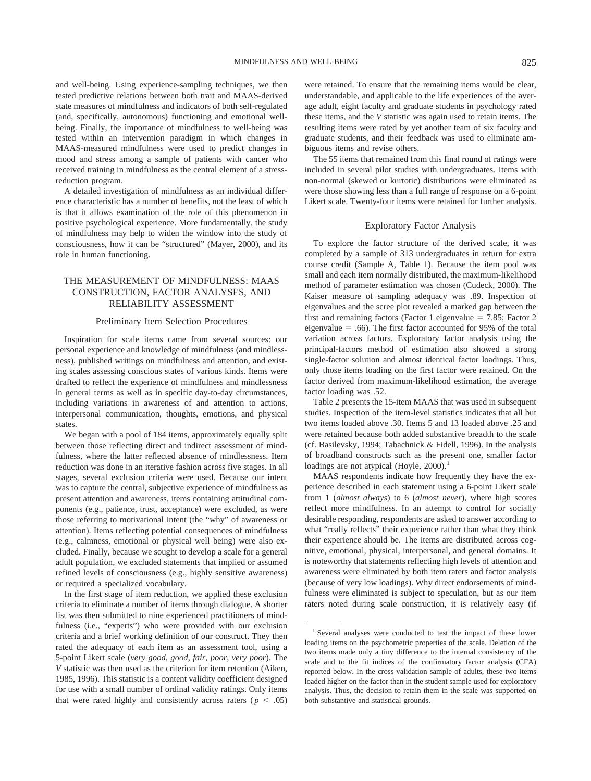and well-being. Using experience-sampling techniques, we then tested predictive relations between both trait and MAAS-derived state measures of mindfulness and indicators of both self-regulated (and, specifically, autonomous) functioning and emotional wellbeing. Finally, the importance of mindfulness to well-being was tested within an intervention paradigm in which changes in MAAS-measured mindfulness were used to predict changes in mood and stress among a sample of patients with cancer who received training in mindfulness as the central element of a stressreduction program.

A detailed investigation of mindfulness as an individual difference characteristic has a number of benefits, not the least of which is that it allows examination of the role of this phenomenon in positive psychological experience. More fundamentally, the study of mindfulness may help to widen the window into the study of consciousness, how it can be "structured" (Mayer, 2000), and its role in human functioning.

# THE MEASUREMENT OF MINDFULNESS: MAAS CONSTRUCTION, FACTOR ANALYSES, AND RELIABILITY ASSESSMENT

### Preliminary Item Selection Procedures

Inspiration for scale items came from several sources: our personal experience and knowledge of mindfulness (and mindlessness), published writings on mindfulness and attention, and existing scales assessing conscious states of various kinds. Items were drafted to reflect the experience of mindfulness and mindlessness in general terms as well as in specific day-to-day circumstances, including variations in awareness of and attention to actions, interpersonal communication, thoughts, emotions, and physical states.

We began with a pool of 184 items, approximately equally split between those reflecting direct and indirect assessment of mindfulness, where the latter reflected absence of mindlessness. Item reduction was done in an iterative fashion across five stages. In all stages, several exclusion criteria were used. Because our intent was to capture the central, subjective experience of mindfulness as present attention and awareness, items containing attitudinal components (e.g., patience, trust, acceptance) were excluded, as were those referring to motivational intent (the "why" of awareness or attention). Items reflecting potential consequences of mindfulness (e.g., calmness, emotional or physical well being) were also excluded. Finally, because we sought to develop a scale for a general adult population, we excluded statements that implied or assumed refined levels of consciousness (e.g., highly sensitive awareness) or required a specialized vocabulary.

In the first stage of item reduction, we applied these exclusion criteria to eliminate a number of items through dialogue. A shorter list was then submitted to nine experienced practitioners of mindfulness (i.e., "experts") who were provided with our exclusion criteria and a brief working definition of our construct. They then rated the adequacy of each item as an assessment tool, using a 5-point Likert scale (*very good*, *good*, *fair*, *poor*, *very poor*). The *V* statistic was then used as the criterion for item retention (Aiken, 1985, 1996). This statistic is a content validity coefficient designed for use with a small number of ordinal validity ratings. Only items that were rated highly and consistently across raters ( $p < .05$ ) were retained. To ensure that the remaining items would be clear, understandable, and applicable to the life experiences of the average adult, eight faculty and graduate students in psychology rated these items, and the *V* statistic was again used to retain items. The resulting items were rated by yet another team of six faculty and graduate students, and their feedback was used to eliminate ambiguous items and revise others.

The 55 items that remained from this final round of ratings were included in several pilot studies with undergraduates. Items with non-normal (skewed or kurtotic) distributions were eliminated as were those showing less than a full range of response on a 6-point Likert scale. Twenty-four items were retained for further analysis.

# Exploratory Factor Analysis

To explore the factor structure of the derived scale, it was completed by a sample of 313 undergraduates in return for extra course credit (Sample A, Table 1). Because the item pool was small and each item normally distributed, the maximum-likelihood method of parameter estimation was chosen (Cudeck, 2000). The Kaiser measure of sampling adequacy was .89. Inspection of eigenvalues and the scree plot revealed a marked gap between the first and remaining factors (Factor 1 eigenvalue  $= 7.85$ ; Factor 2 eigenvalue  $=$  .66). The first factor accounted for 95% of the total variation across factors. Exploratory factor analysis using the principal-factors method of estimation also showed a strong single-factor solution and almost identical factor loadings. Thus, only those items loading on the first factor were retained. On the factor derived from maximum-likelihood estimation, the average factor loading was .52.

Table 2 presents the 15-item MAAS that was used in subsequent studies. Inspection of the item-level statistics indicates that all but two items loaded above .30. Items 5 and 13 loaded above .25 and were retained because both added substantive breadth to the scale (cf. Basilevsky, 1994; Tabachnick & Fidell, 1996). In the analysis of broadband constructs such as the present one, smaller factor loadings are not atypical (Hoyle,  $2000$ ).<sup>1</sup>

MAAS respondents indicate how frequently they have the experience described in each statement using a 6-point Likert scale from 1 (*almost always*) to 6 (*almost never*), where high scores reflect more mindfulness. In an attempt to control for socially desirable responding, respondents are asked to answer according to what "really reflects" their experience rather than what they think their experience should be. The items are distributed across cognitive, emotional, physical, interpersonal, and general domains. It is noteworthy that statements reflecting high levels of attention and awareness were eliminated by both item raters and factor analysis (because of very low loadings). Why direct endorsements of mindfulness were eliminated is subject to speculation, but as our item raters noted during scale construction, it is relatively easy (if

<sup>1</sup> Several analyses were conducted to test the impact of these lower loading items on the psychometric properties of the scale. Deletion of the two items made only a tiny difference to the internal consistency of the scale and to the fit indices of the confirmatory factor analysis (CFA) reported below. In the cross-validation sample of adults, these two items loaded higher on the factor than in the student sample used for exploratory analysis. Thus, the decision to retain them in the scale was supported on both substantive and statistical grounds.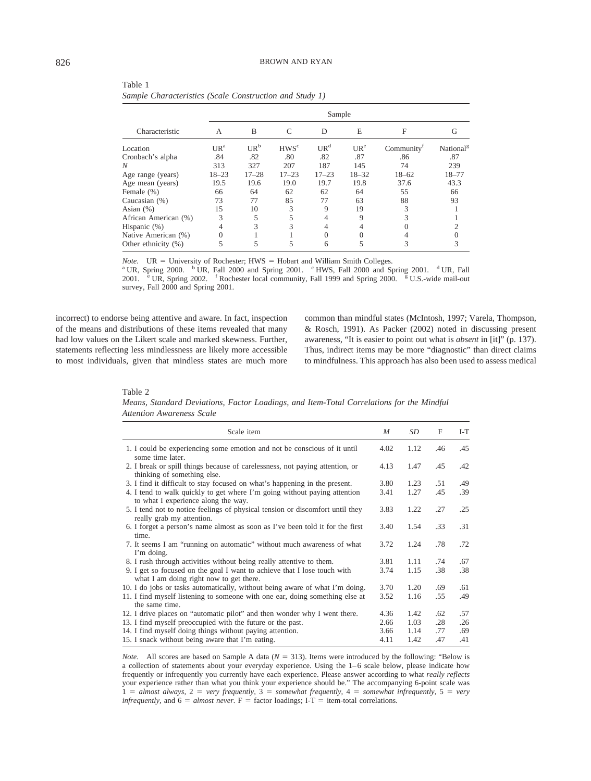|                      | Sample                |                      |                  |                       |                       |                        |                       |  |
|----------------------|-----------------------|----------------------|------------------|-----------------------|-----------------------|------------------------|-----------------------|--|
| Characteristic       | A                     | B                    | C                | D                     | E                     | F                      | G                     |  |
| Location             | $_{\rm{UR}^{\rm{a}}}$ | $_{\rm{UR}^{\rm b}}$ | HWS <sup>c</sup> | $_{\rm{UR}^{\rm{d}}}$ | $_{\rm{UR}^{\rm{e}}}$ | Community <sup>t</sup> | National <sup>g</sup> |  |
| Cronbach's alpha     | .84                   | .82                  | .80              | .82                   | .87                   | .86                    | .87                   |  |
| N                    | 313                   | 327                  | 207              | 187                   | 145                   | 74                     | 239                   |  |
| Age range (years)    | $18 - 23$             | $17 - 28$            | $17 - 23$        | $17 - 23$             | $18 - 32$             | $18 - 62$              | $18 - 77$             |  |
| Age mean (years)     | 19.5                  | 19.6                 | 19.0             | 19.7                  | 19.8                  | 37.6                   | 43.3                  |  |
| Female (%)           | 66                    | 64                   | 62               | 62                    | 64                    | 55                     | 66                    |  |
| Caucasian (%)        | 73                    | 77                   | 85               | 77                    | 63                    | 88                     | 93                    |  |
| Asian $(\%)$         | 15                    | 10                   | 3                | 9                     | 19                    | 3                      |                       |  |
| African American (%) | 3                     | 5                    | 5                |                       | 9                     |                        |                       |  |
| Hispanic (%)         | 4                     | 3                    | 3                |                       |                       |                        |                       |  |
| Native American (%)  | 0                     |                      |                  | 0                     |                       |                        |                       |  |
| Other ethnicity (%)  |                       | 5                    |                  | 6                     |                       |                        |                       |  |

Table 1 *Sample Characteristics (Scale Construction and Study 1)*

*Note.*  $UR = University of Rochester; HWS =$ 

*Note.* UR = University of Rochester; HWS = Hobart and William Smith Colleges.<br><sup>a</sup> UR, Spring 2000. <sup>b</sup> UR, Fall 2000 and Spring 2001. <sup>c</sup> HWS, Fall 2000 and Spring 2001. <sup>d</sup> UR, Fall 2001. <sup>e</sup> UR, Spring 2002. <sup>f</sup> Rochester local community, Fall 1999 and Spring 2000. <sup>g</sup> U.S.-wide mail-out survey, Fall 2000 and Spring 2001.

incorrect) to endorse being attentive and aware. In fact, inspection of the means and distributions of these items revealed that many had low values on the Likert scale and marked skewness. Further, statements reflecting less mindlessness are likely more accessible to most individuals, given that mindless states are much more common than mindful states (McIntosh, 1997; Varela, Thompson, & Rosch, 1991). As Packer (2002) noted in discussing present awareness, "It is easier to point out what is *absent* in [it]" (p. 137). Thus, indirect items may be more "diagnostic" than direct claims to mindfulness. This approach has also been used to assess medical

#### Table 2

*Means, Standard Deviations, Factor Loadings, and Item-Total Correlations for the Mindful Attention Awareness Scale*

| Scale item                                                                                                          | M    | SD   | F   | $I-T$ |
|---------------------------------------------------------------------------------------------------------------------|------|------|-----|-------|
| 1. I could be experiencing some emotion and not be conscious of it until<br>some time later.                        | 4.02 | 1.12 | .46 | .45   |
| 2. I break or spill things because of carelessness, not paying attention, or<br>thinking of something else.         | 4.13 | 1.47 | .45 | .42   |
| 3. I find it difficult to stay focused on what's happening in the present.                                          | 3.80 | 1.23 | .51 | .49   |
| 4. I tend to walk quickly to get where I'm going without paying attention<br>to what I experience along the way.    | 3.41 | 1.27 | .45 | .39   |
| 5. I tend not to notice feelings of physical tension or discomfort until they<br>really grab my attention.          | 3.83 | 1.22 | .27 | .25   |
| 6. I forget a person's name almost as soon as I've been told it for the first<br>time.                              | 3.40 | 1.54 | .33 | .31   |
| 7. It seems I am "running on automatic" without much awareness of what<br>I'm doing.                                | 3.72 | 1.24 | .78 | .72   |
| 8. I rush through activities without being really attentive to them.                                                | 3.81 | 1.11 | .74 | .67   |
| 9. I get so focused on the goal I want to achieve that I lose touch with<br>what I am doing right now to get there. | 3.74 | 1.15 | .38 | .38   |
| 10. I do jobs or tasks automatically, without being aware of what I'm doing.                                        | 3.70 | 1.20 | .69 | .61   |
| 11. I find myself listening to someone with one ear, doing something else at<br>the same time.                      | 3.52 | 1.16 | .55 | .49   |
| 12. I drive places on "automatic pilot" and then wonder why I went there.                                           | 4.36 | 1.42 | .62 | .57   |
| 13. I find myself preoccupied with the future or the past.                                                          | 2.66 | 1.03 | .28 | .26   |
| 14. I find myself doing things without paying attention.                                                            | 3.66 | 1.14 | .77 | .69   |
| 15. I snack without being aware that I'm eating.                                                                    | 4.11 | 1.42 | .47 | .41   |

*Note.* All scores are based on Sample A data  $(N = 313)$ . Items were introduced by the following: "Below is a collection of statements about your everyday experience. Using the 1–6 scale below, please indicate how frequently or infrequently you currently have each experience. Please answer according to what *really reflects* your experience rather than what you think your experience should be." The accompanying 6-point scale was  $1 =$  almost always,  $2 =$  very frequently,  $3 =$  somewhat frequently,  $4 =$  somewhat infrequently,  $5 =$  very *infrequently,* and  $6 = \text{almost never.}$   $F = \text{factor loadings}$ ;  $I - T = \text{item-total correlations.}$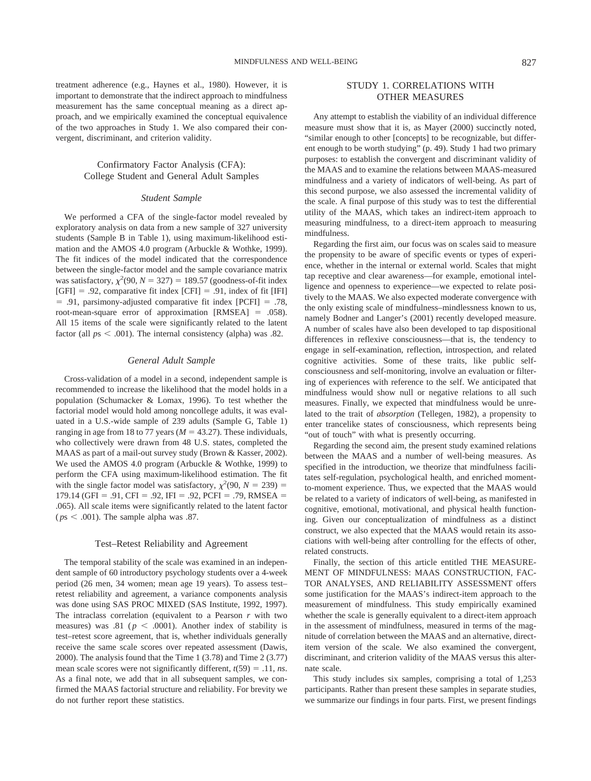treatment adherence (e.g., Haynes et al., 1980). However, it is important to demonstrate that the indirect approach to mindfulness measurement has the same conceptual meaning as a direct approach, and we empirically examined the conceptual equivalence of the two approaches in Study 1. We also compared their convergent, discriminant, and criterion validity.

# Confirmatory Factor Analysis (CFA): College Student and General Adult Samples

# *Student Sample*

We performed a CFA of the single-factor model revealed by exploratory analysis on data from a new sample of 327 university students (Sample B in Table 1), using maximum-likelihood estimation and the AMOS 4.0 program (Arbuckle & Wothke, 1999). The fit indices of the model indicated that the correspondence between the single-factor model and the sample covariance matrix was satisfactory,  $\chi^2(90, N = 327) = 189.57$  (goodness-of-fit index  $[GFI] = .92$ , comparative fit index  $[CFI] = .91$ , index of fit [IFI]  $= .91$ , parsimony-adjusted comparative fit index [PCFI]  $= .78$ , root-mean-square error of approximation [RMSEA] = .058). All 15 items of the scale were significantly related to the latent factor (all  $ps < .001$ ). The internal consistency (alpha) was .82.

### *General Adult Sample*

Cross-validation of a model in a second, independent sample is recommended to increase the likelihood that the model holds in a population (Schumacker & Lomax, 1996). To test whether the factorial model would hold among noncollege adults, it was evaluated in a U.S.-wide sample of 239 adults (Sample G, Table 1) ranging in age from 18 to 77 years  $(M = 43.27)$ . These individuals, who collectively were drawn from 48 U.S. states, completed the MAAS as part of a mail-out survey study (Brown & Kasser, 2002). We used the AMOS 4.0 program (Arbuckle & Wothke, 1999) to perform the CFA using maximum-likelihood estimation. The fit with the single factor model was satisfactory,  $\chi^2(90, N = 239)$  =  $179.14$  (GFI = .91, CFI = .92, IFI = .92, PCFI = .79, RMSEA = .065). All scale items were significantly related to the latent factor ( $ps < .001$ ). The sample alpha was .87.

### Test–Retest Reliability and Agreement

The temporal stability of the scale was examined in an independent sample of 60 introductory psychology students over a 4-week period (26 men, 34 women; mean age 19 years). To assess test– retest reliability and agreement, a variance components analysis was done using SAS PROC MIXED (SAS Institute, 1992, 1997). The intraclass correlation (equivalent to a Pearson *r* with two measures) was .81 ( $p < .0001$ ). Another index of stability is test–retest score agreement, that is, whether individuals generally receive the same scale scores over repeated assessment (Dawis, 2000). The analysis found that the Time 1 (3.78) and Time 2 (3.77) mean scale scores were not significantly different,  $t(59) = .11$ , *ns*. As a final note, we add that in all subsequent samples, we confirmed the MAAS factorial structure and reliability. For brevity we do not further report these statistics.

# STUDY 1. CORRELATIONS WITH OTHER MEASURES

Any attempt to establish the viability of an individual difference measure must show that it is, as Mayer (2000) succinctly noted, "similar enough to other [concepts] to be recognizable, but different enough to be worth studying" (p. 49). Study 1 had two primary purposes: to establish the convergent and discriminant validity of the MAAS and to examine the relations between MAAS-measured mindfulness and a variety of indicators of well-being. As part of this second purpose, we also assessed the incremental validity of the scale. A final purpose of this study was to test the differential utility of the MAAS, which takes an indirect-item approach to measuring mindfulness, to a direct-item approach to measuring mindfulness.

Regarding the first aim, our focus was on scales said to measure the propensity to be aware of specific events or types of experience, whether in the internal or external world. Scales that might tap receptive and clear awareness—for example, emotional intelligence and openness to experience—we expected to relate positively to the MAAS. We also expected moderate convergence with the only existing scale of mindfulness–mindlessness known to us, namely Bodner and Langer's (2001) recently developed measure. A number of scales have also been developed to tap dispositional differences in reflexive consciousness—that is, the tendency to engage in self-examination, reflection, introspection, and related cognitive activities. Some of these traits, like public selfconsciousness and self-monitoring, involve an evaluation or filtering of experiences with reference to the self. We anticipated that mindfulness would show null or negative relations to all such measures. Finally, we expected that mindfulness would be unrelated to the trait of *absorption* (Tellegen, 1982), a propensity to enter trancelike states of consciousness, which represents being "out of touch" with what is presently occurring.

Regarding the second aim, the present study examined relations between the MAAS and a number of well-being measures. As specified in the introduction, we theorize that mindfulness facilitates self-regulation, psychological health, and enriched momentto-moment experience. Thus, we expected that the MAAS would be related to a variety of indicators of well-being, as manifested in cognitive, emotional, motivational, and physical health functioning. Given our conceptualization of mindfulness as a distinct construct, we also expected that the MAAS would retain its associations with well-being after controlling for the effects of other, related constructs.

Finally, the section of this article entitled THE MEASURE-MENT OF MINDFULNESS: MAAS CONSTRUCTION, FAC-TOR ANALYSES, AND RELIABILITY ASSESSMENT offers some justification for the MAAS's indirect-item approach to the measurement of mindfulness. This study empirically examined whether the scale is generally equivalent to a direct-item approach in the assessment of mindfulness, measured in terms of the magnitude of correlation between the MAAS and an alternative, directitem version of the scale. We also examined the convergent, discriminant, and criterion validity of the MAAS versus this alternate scale.

This study includes six samples, comprising a total of 1,253 participants. Rather than present these samples in separate studies, we summarize our findings in four parts. First, we present findings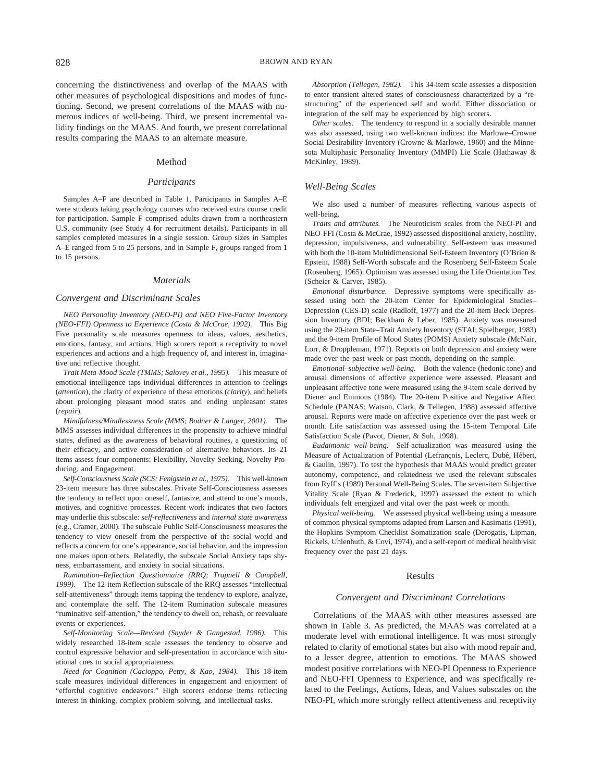concerning the distinctiveness and overlap of the MAAS with other measures of psychological dispositions and modes of functioning. Second, we present correlations of the MAAS with numerous indices of well-being. Third, we present incremental validity findings on the MAAS. And fourth, we present correlational results comparing the MAAS to an alternate measure.

#### Method

#### *Participants*

Samples A–F are described in Table 1. Participants in Samples A–E were students taking psychology courses who received extra course credit for participation. Sample F comprised adults drawn from a northeastern U.S. community (see Study 4 for recruitment details). Participants in all samples completed measures in a single session. Group sizes in Samples A–E ranged from 5 to 25 persons, and in Sample F, groups ranged from 1 to 15 persons.

### *Materials*

#### *Convergent and Discriminant Scales*

*NEO Personality Inventory (NEO-PI) and NEO Five-Factor Inventory (NEO-FFI) Openness to Experience (Costa & McCrae, 1992).* This Big Five personality scale measures openness to ideas, values, aesthetics, emotions, fantasy, and actions. High scorers report a receptivity to novel experiences and actions and a high frequency of, and interest in, imaginative and reflective thought.

*Trait Meta-Mood Scale (TMMS; Salovey et al., 1995).* This measure of emotional intelligence taps individual differences in attention to feelings (*attention*), the clarity of experience of these emotions (*clarity*), and beliefs about prolonging pleasant mood states and ending unpleasant states (*repair*).

*Mindfulness/Mindlessness Scale (MMS; Bodner & Langer, 2001).* The MMS assesses individual differences in the propensity to achieve mindful states, defined as the awareness of behavioral routines, a questioning of their efficacy, and active consideration of alternative behaviors. Its 21 items assess four components: Flexibility, Novelty Seeking, Novelty Producing, and Engagement.

*Self-Consciousness Scale (SCS; Fenigstein et al., 1975).* This well-known 23-item measure has three subscales. Private Self-Consciousness assesses the tendency to reflect upon oneself, fantasize, and attend to one's moods, motives, and cognitive processes. Recent work indicates that two factors may underlie this subscale: *self-reflectiveness* and *internal state awareness* (e.g., Cramer, 2000). The subscale Public Self-Consciousness measures the tendency to view oneself from the perspective of the social world and reflects a concern for one's appearance, social behavior, and the impression one makes upon others. Relatedly, the subscale Social Anxiety taps shyness, embarrassment, and anxiety in social situations.

*Rumination–Reflection Questionnaire (RRQ; Trapnell & Campbell, 1999).* The 12-item Reflection subscale of the RRQ assesses "intellectual self-attentiveness" through items tapping the tendency to explore, analyze, and contemplate the self. The 12-item Rumination subscale measures "ruminative self-attention," the tendency to dwell on, rehash, or reevaluate events or experiences.

*Self-Monitoring Scale—Revised (Snyder & Gangestad, 1986).* This widely researched 18-item scale assesses the tendency to observe and control expressive behavior and self-presentation in accordance with situational cues to social appropriateness.

*Need for Cognition (Cacioppo, Petty, & Kao, 1984).* This 18-item scale measures individual differences in engagement and enjoyment of "effortful cognitive endeavors." High scorers endorse items reflecting interest in thinking, complex problem solving, and intellectual tasks.

*Absorption (Tellegen, 1982).* This 34-item scale assesses a disposition to enter transient altered states of consciousness characterized by a "restructuring" of the experienced self and world. Either dissociation or integration of the self may be experienced by high scorers.

*Other scales.* The tendency to respond in a socially desirable manner was also assessed, using two well-known indices: the Marlowe–Crowne Social Desirability Inventory (Crowne & Marlowe, 1960) and the Minnesota Multiphasic Personality Inventory (MMPI) Lie Scale (Hathaway & McKinley, 1989).

#### *Well-Being Scales*

We also used a number of measures reflecting various aspects of well-being.

*Traits and attributes.* The Neuroticism scales from the NEO-PI and NEO-FFI (Costa & McCrae, 1992) assessed dispositional anxiety, hostility, depression, impulsiveness, and vulnerability. Self-esteem was measured with both the 10-item Multidimensional Self-Esteem Inventory (O'Brien & Epstein, 1988) Self-Worth subscale and the Rosenberg Self-Esteem Scale (Rosenberg, 1965). Optimism was assessed using the Life Orientation Test (Scheier & Carver, 1985).

*Emotional disturbance.* Depressive symptoms were specifically assessed using both the 20-item Center for Epidemiological Studies– Depression (CES-D) scale (Radloff, 1977) and the 20-item Beck Depression Inventory (BDI; Beckham & Leber, 1985). Anxiety was measured using the 20-item State–Trait Anxiety Inventory (STAI; Spielberger, 1983) and the 9-item Profile of Mood States (POMS) Anxiety subscale (McNair, Lorr, & Droppleman, 1971). Reports on both depression and anxiety were made over the past week or past month, depending on the sample.

*Emotional–subjective well-being.* Both the valence (hedonic tone) and arousal dimensions of affective experience were assessed. Pleasant and unpleasant affective tone were measured using the 9-item scale derived by Diener and Emmons (1984). The 20-item Positive and Negative Affect Schedule (PANAS; Watson, Clark, & Tellegen, 1988) assessed affective arousal. Reports were made on affective experience over the past week or month. Life satisfaction was assessed using the 15-item Temporal Life Satisfaction Scale (Pavot, Diener, & Suh, 1998).

*Eudaimonic well-being.* Self-actualization was measured using the Measure of Actualization of Potential (Lefrançois, Leclerc, Dubé, Hébert, & Gaulin, 1997). To test the hypothesis that MAAS would predict greater autonomy, competence, and relatedness we used the relevant subscales from Ryff's (1989) Personal Well-Being Scales. The seven-item Subjective Vitality Scale (Ryan & Frederick, 1997) assessed the extent to which individuals felt energized and vital over the past week or month.

*Physical well-being.* We assessed physical well-being using a measure of common physical symptoms adapted from Larsen and Kasimatis (1991), the Hopkins Symptom Checklist Somatization scale (Derogatis, Lipman, Rickels, Uhlenhuth, & Covi, 1974), and a self-report of medical health visit frequency over the past 21 days.

### Results

### *Convergent and Discriminant Correlations*

Correlations of the MAAS with other measures assessed are shown in Table 3. As predicted, the MAAS was correlated at a moderate level with emotional intelligence. It was most strongly related to clarity of emotional states but also with mood repair and, to a lesser degree, attention to emotions. The MAAS showed modest positive correlations with NEO-PI Openness to Experience and NEO-FFI Openness to Experience, and was specifically related to the Feelings, Actions, Ideas, and Values subscales on the NEO-PI, which more strongly reflect attentiveness and receptivity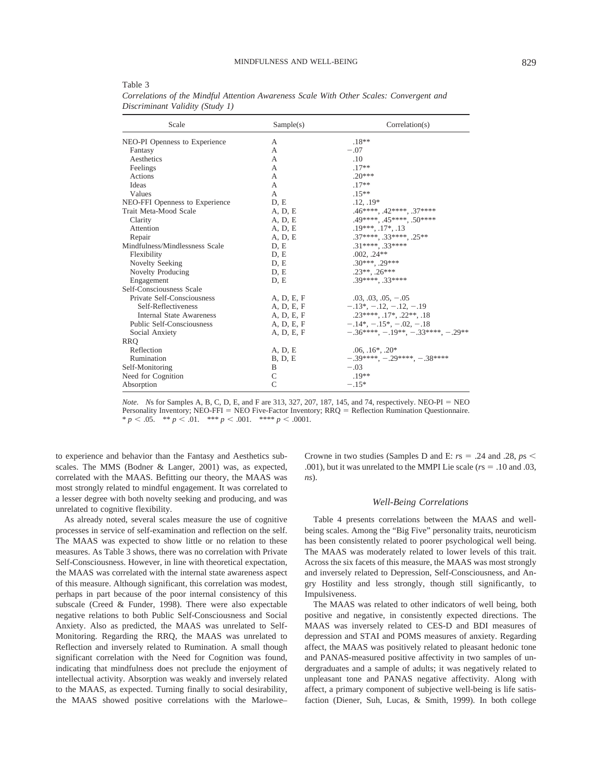| Scale                            | Sample(s)     | Correlation(s)                      |
|----------------------------------|---------------|-------------------------------------|
| NEO-PI Openness to Experience    | А             | $.18**$                             |
| Fantasy                          | A             | $-.07$                              |
| Aesthetics                       | A             | .10                                 |
| Feelings                         | A             | $.17**$                             |
| Actions                          | A             | $.20***$                            |
| Ideas                            | А             | $.17**$                             |
| Values                           | A             | $.15***$                            |
| NEO-FFI Openness to Experience   | D, E          | $.12. .19*$                         |
| Trait Meta-Mood Scale            | A, D, E       | $.46***$ , $.42***$ , $.37***$      |
| Clarity                          | A, D, E       | $.49***$ , $.45***$ , $.50***$      |
| Attention                        | A, D, E       | $.19***.17*.13$                     |
| Repair                           | A, D, E       | $.37***$ . $.33***$ . $.25**$       |
| Mindfulness/Mindlessness Scale   | D, E          | $.31***$ . $.33***$                 |
| Flexibility                      | D, E          | $.002, .24**$                       |
| Novelty Seeking                  | D.E           | $.30***.29***$                      |
| Novelty Producing                | D, E          | $.23***$ $.26***$                   |
| Engagement                       | D.E           | $.39***$ . $.33***$                 |
| Self-Consciousness Scale         |               |                                     |
| Private Self-Consciousness       | A, D, E, F    | $.03, .03, .05, -.05$               |
| Self-Reflectiveness              | A, D, E, F    | $-.13^*,-.12,-.12,-.19$             |
| <b>Internal State Awareness</b>  | A, D, E, F    | $.23***$ , $.17*$ , $.22**$ , $.18$ |
| <b>Public Self-Consciousness</b> | A, D, E, F    | $-.14^*,-.15^*,-.02,-.18$           |
| Social Anxiety                   | A, D, E, F    | $-36*** - 19** - 33*** - 29**$      |
| <b>RRO</b>                       |               |                                     |
| Reflection                       | A, D, E       | $.06, .16^*$ . $.20^*$              |
| Rumination                       | B, D, E       | $-.39***$ $-.29***$ $-.38***$       |
| Self-Monitoring                  | B             | $-.03$                              |
| Need for Cognition               | $\mathsf{C}$  | $.19**$                             |
| Absorption                       | $\mathcal{C}$ | $-.15*$                             |

Table 3 *Correlations of the Mindful Attention Awareness Scale With Other Scales: Convergent and Discriminant Validity (Study 1)*

*Note. N*s for Samples A, B, C, D, E, and F are 313, 327, 207, 187, 145, and 74, respectively. NEO-PI = NEO Personality Inventory; NEO-FFI = NEO Five-Factor Inventory; RRQ = Reflection Rumination Questionnaire.  $p \leq 0.05$ . \*\*  $p \leq 0.01$ . \*\*\*  $p \leq 0.001$ . \*\*\*\*  $p \leq 0.0001$ .

to experience and behavior than the Fantasy and Aesthetics subscales. The MMS (Bodner & Langer, 2001) was, as expected, correlated with the MAAS. Befitting our theory, the MAAS was most strongly related to mindful engagement. It was correlated to a lesser degree with both novelty seeking and producing, and was unrelated to cognitive flexibility.

As already noted, several scales measure the use of cognitive processes in service of self-examination and reflection on the self. The MAAS was expected to show little or no relation to these measures. As Table 3 shows, there was no correlation with Private Self-Consciousness. However, in line with theoretical expectation, the MAAS was correlated with the internal state awareness aspect of this measure. Although significant, this correlation was modest, perhaps in part because of the poor internal consistency of this subscale (Creed & Funder, 1998). There were also expectable negative relations to both Public Self-Consciousness and Social Anxiety. Also as predicted, the MAAS was unrelated to Self-Monitoring. Regarding the RRQ, the MAAS was unrelated to Reflection and inversely related to Rumination. A small though significant correlation with the Need for Cognition was found, indicating that mindfulness does not preclude the enjoyment of intellectual activity. Absorption was weakly and inversely related to the MAAS, as expected. Turning finally to social desirability, the MAAS showed positive correlations with the Marlowe–

Crowne in two studies (Samples D and E:  $rs = .24$  and .28,  $ps <$  $(0.001)$ , but it was unrelated to the MMPI Lie scale ( $rs = .10$  and  $.03$ , *ns*).

# *Well-Being Correlations*

Table 4 presents correlations between the MAAS and wellbeing scales. Among the "Big Five" personality traits, neuroticism has been consistently related to poorer psychological well being. The MAAS was moderately related to lower levels of this trait. Across the six facets of this measure, the MAAS was most strongly and inversely related to Depression, Self-Consciousness, and Angry Hostility and less strongly, though still significantly, to Impulsiveness.

The MAAS was related to other indicators of well being, both positive and negative, in consistently expected directions. The MAAS was inversely related to CES-D and BDI measures of depression and STAI and POMS measures of anxiety. Regarding affect, the MAAS was positively related to pleasant hedonic tone and PANAS-measured positive affectivity in two samples of undergraduates and a sample of adults; it was negatively related to unpleasant tone and PANAS negative affectivity. Along with affect, a primary component of subjective well-being is life satisfaction (Diener, Suh, Lucas, & Smith, 1999). In both college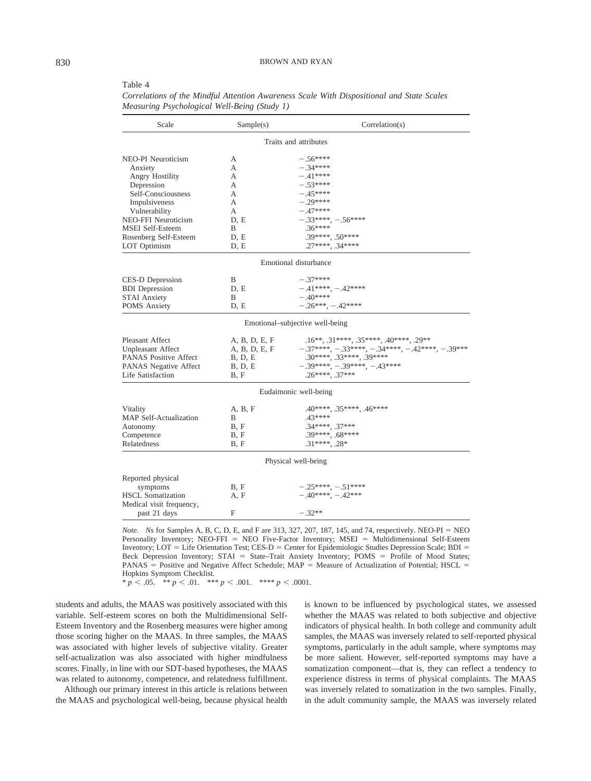#### Table 4

*Correlations of the Mindful Attention Awareness Scale With Dispositional and State Scales Measuring Psychological Well-Being (Study 1)*

| Scale                         | Sample(s)     | Correlation(s)                                                 |
|-------------------------------|---------------|----------------------------------------------------------------|
|                               |               | Traits and attributes                                          |
| NEO-PI Neuroticism            | А             | $-.56***$                                                      |
| Anxiety                       | A             | $-.34***$                                                      |
| Angry Hostility               | А             | $-.41***$                                                      |
| Depression                    | А             | $-.53***$                                                      |
| Self-Consciousness            | А             | $-.45***$                                                      |
| Impulsiveness                 | A             | $-29***$                                                       |
| Vulnerability                 | А             | $-.47***$                                                      |
| NEO-FFI Neuroticism           | D, E          | $-.33***$ , $-.56***$                                          |
| <b>MSEI Self-Esteem</b>       | B             | $.36***$                                                       |
| Rosenberg Self-Esteem         | D, E          | $.39***$ , $.50***$                                            |
| LOT Optimism                  | D, E          | $.27***$ , $.34***$                                            |
|                               |               | Emotional disturbance                                          |
| CES-D Depression              | B             | $-.37***$                                                      |
| <b>BDI</b> Depression         | D, E          | $-.41***$ , $-.42***$                                          |
| <b>STAI Anxiety</b>           | B             | $-.40***$                                                      |
| <b>POMS</b> Anxiety           | D, E          | $-.26***,-.42***$                                              |
|                               |               | Emotional-subjective well-being                                |
| Pleasant Affect               | A, B, D, E, F | $.16***$ , $.31***$ , $.35***$ , $.40***$ , $.29***$           |
| Unpleasant Affect             | A, B, D, E, F | $-0.37***$ , $-0.33***$ , $-0.34***$ , $-0.42***$ , $-0.39***$ |
| <b>PANAS Positive Affect</b>  | B, D, E       | $.30***$ ***, $.33***$ , $.39***$                              |
| PANAS Negative Affect         | B, D, E       | $-39***$ , $-39***$ , $-43***$                                 |
| Life Satisfaction             | B, F          | $.26***$ , $.37***$                                            |
|                               |               | Eudaimonic well-being                                          |
| Vitality                      | A, B, F       | $.40***$ , $.35***$ , $.46***$                                 |
| <b>MAP Self-Actualization</b> | B             | $.43***$                                                       |
| Autonomy                      | B, F          | $.34***$ , $.37***$                                            |
| Competence                    | B, F          | $.39***$ . $.68***$                                            |
| Relatedness                   | B, F          | $.31***$ , $.28*$                                              |
|                               |               | Physical well-being                                            |
|                               |               |                                                                |
| Reported physical<br>symptoms | B, F          | $-.25***$ , $-.51***$                                          |
| <b>HSCL</b> Somatization      | A, F          | $-.40***$ , $-.42***$                                          |
| Medical visit frequency,      |               |                                                                |
| past 21 days                  | F             | $-.32**$                                                       |

*Note. N*s for Samples A, B, C, D, E, and F are 313, 327, 207, 187, 145, and 74, respectively. NEO-PI = NEO Personality Inventory; NEO-FFI = NEO Five-Factor Inventory; MSEI = Multidimensional Self-Esteem Inventory;  $LOT = Life$  Orientation Test;  $CES-D = Center$  for Epidemiologic Studies Depression Scale;  $BDI =$ Beck Depression Inventory; STAI = State-Trait Anxiety Inventory; POMS = Profile of Mood States;  $PANAS =$  Positive and Negative Affect Schedule;  $MAP =$  Measure of Actualization of Potential; HSCL = Hopkins Symptom Checklist.

 $* p < .05.$  \*\*  $p < .01.$  \*\*\*  $p < .001.$  \*\*\*\*  $p < .0001.$ 

students and adults, the MAAS was positively associated with this variable. Self-esteem scores on both the Multidimensional Self-Esteem Inventory and the Rosenberg measures were higher among those scoring higher on the MAAS. In three samples, the MAAS was associated with higher levels of subjective vitality. Greater self-actualization was also associated with higher mindfulness scores. Finally, in line with our SDT-based hypotheses, the MAAS was related to autonomy, competence, and relatedness fulfillment.

Although our primary interest in this article is relations between the MAAS and psychological well-being, because physical health is known to be influenced by psychological states, we assessed whether the MAAS was related to both subjective and objective indicators of physical health. In both college and community adult samples, the MAAS was inversely related to self-reported physical symptoms, particularly in the adult sample, where symptoms may be more salient. However, self-reported symptoms may have a somatization component—that is, they can reflect a tendency to experience distress in terms of physical complaints. The MAAS was inversely related to somatization in the two samples. Finally, in the adult community sample, the MAAS was inversely related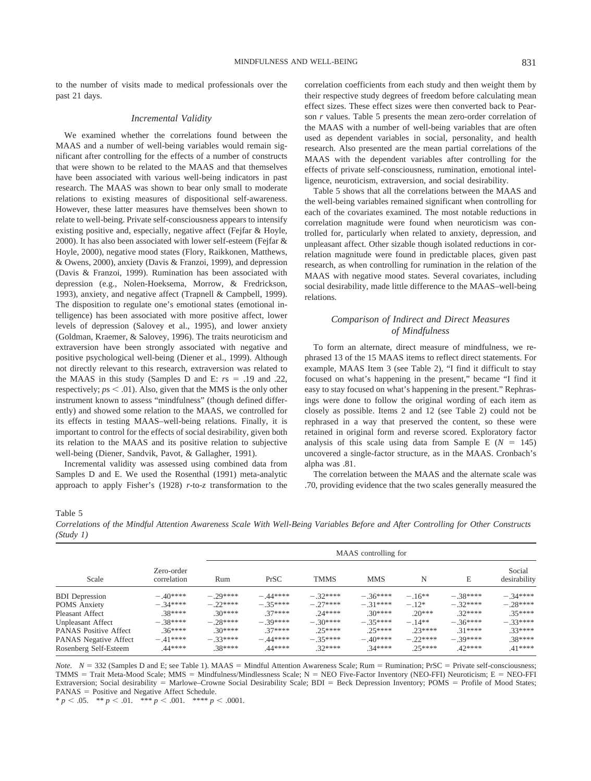to the number of visits made to medical professionals over the past 21 days.

#### *Incremental Validity*

We examined whether the correlations found between the MAAS and a number of well-being variables would remain significant after controlling for the effects of a number of constructs that were shown to be related to the MAAS and that themselves have been associated with various well-being indicators in past research. The MAAS was shown to bear only small to moderate relations to existing measures of dispositional self-awareness. However, these latter measures have themselves been shown to relate to well-being. Private self-consciousness appears to intensify existing positive and, especially, negative affect (Fejfar & Hoyle, 2000). It has also been associated with lower self-esteem (Fejfar & Hoyle, 2000), negative mood states (Flory, Raikkonen, Matthews, & Owens, 2000), anxiety (Davis & Franzoi, 1999), and depression (Davis & Franzoi, 1999). Rumination has been associated with depression (e.g., Nolen-Hoeksema, Morrow, & Fredrickson, 1993), anxiety, and negative affect (Trapnell & Campbell, 1999). The disposition to regulate one's emotional states (emotional intelligence) has been associated with more positive affect, lower levels of depression (Salovey et al., 1995), and lower anxiety (Goldman, Kraemer, & Salovey, 1996). The traits neuroticism and extraversion have been strongly associated with negative and positive psychological well-being (Diener et al., 1999). Although not directly relevant to this research, extraversion was related to the MAAS in this study (Samples D and E:  $rs = .19$  and .22, respectively;  $p_s < .01$ ). Also, given that the MMS is the only other instrument known to assess "mindfulness" (though defined differently) and showed some relation to the MAAS, we controlled for its effects in testing MAAS–well-being relations. Finally, it is important to control for the effects of social desirability, given both its relation to the MAAS and its positive relation to subjective well-being (Diener, Sandvik, Pavot, & Gallagher, 1991).

Incremental validity was assessed using combined data from Samples D and E. We used the Rosenthal (1991) meta-analytic approach to apply Fisher's (1928) *r*-to-*z* transformation to the correlation coefficients from each study and then weight them by their respective study degrees of freedom before calculating mean effect sizes. These effect sizes were then converted back to Pearson *r* values. Table 5 presents the mean zero-order correlation of the MAAS with a number of well-being variables that are often used as dependent variables in social, personality, and health research. Also presented are the mean partial correlations of the MAAS with the dependent variables after controlling for the effects of private self-consciousness, rumination, emotional intelligence, neuroticism, extraversion, and social desirability.

Table 5 shows that all the correlations between the MAAS and the well-being variables remained significant when controlling for each of the covariates examined. The most notable reductions in correlation magnitude were found when neuroticism was controlled for, particularly when related to anxiety, depression, and unpleasant affect. Other sizable though isolated reductions in correlation magnitude were found in predictable places, given past research, as when controlling for rumination in the relation of the MAAS with negative mood states. Several covariates, including social desirability, made little difference to the MAAS–well-being relations.

# *Comparison of Indirect and Direct Measures of Mindfulness*

To form an alternate, direct measure of mindfulness, we rephrased 13 of the 15 MAAS items to reflect direct statements. For example, MAAS Item 3 (see Table 2), "I find it difficult to stay focused on what's happening in the present," became "I find it easy to stay focused on what's happening in the present." Rephrasings were done to follow the original wording of each item as closely as possible. Items 2 and 12 (see Table 2) could not be rephrased in a way that preserved the content, so these were retained in original form and reverse scored. Exploratory factor analysis of this scale using data from Sample E  $(N = 145)$ uncovered a single-factor structure, as in the MAAS. Cronbach's alpha was .81.

The correlation between the MAAS and the alternate scale was .70, providing evidence that the two scales generally measured the

Table 5

*Correlations of the Mindful Attention Awareness Scale With Well-Being Variables Before and After Controlling for Other Constructs (Study 1)*

|                              |                           |           | MAAS controlling for |             |            |           |            |                        |
|------------------------------|---------------------------|-----------|----------------------|-------------|------------|-----------|------------|------------------------|
| Scale                        | Zero-order<br>correlation | Rum       | PrSC                 | <b>TMMS</b> | <b>MMS</b> | N         | E          | Social<br>desirability |
| <b>BDI</b> Depression        | $-.40***$                 | $-.29***$ | $-44***$             | $-32***$    | $-.36***$  | $-16**$   | $-.38***$  | $-.34***$              |
| <b>POMS</b> Anxiety          | $-.34***$                 | $-.22***$ | $-.35***$            | $-27***$    | $-31***$   | $-.12*$   | $-32***$   | $-.28***$              |
| Pleasant Affect              | 38****                    | $30***$   | 37****               | $24***$     | $30***$    | $20***$   | $32***$    | $35****$               |
| Unpleasant Affect            | $-.38***$                 | $-.28***$ | $-.39****$           | $-.30***$   | $-.35***$  | $-14**$   | $-.36***$  | $-.33****$             |
| <b>PANAS Positive Affect</b> | $.36****$                 | $30***$   | 37****               | $25***$     | $25***$    | $23***$   | $31***$    | 33****                 |
| <b>PANAS Negative Affect</b> | $-.41***$                 | $-33***$  | $-44***$             | $-.35***$   | $-.40***$  | $-.22***$ | $-.39****$ | $.38****$              |
| Rosenberg Self-Esteem        | $44****$                  | $.38****$ | $.44****$            | $32***$     | $.34****$  | $25***$   | $.42***$   | $.41***$               |

*Note.*  $N = 332$  (Samples D and E; see Table 1). MAAS = Mindful Attention Awareness Scale; Rum = Rumination; PrSC = Private self-consciousness; TMMS = Trait Meta-Mood Scale; MMS = Mindfulness/Mindlessness Scale; N = NEO Five-Factor Inventory (NEO-FFI) Neuroticism; E = NEO-FFI Extraversion; Social desirability = Marlowe–Crowne Social Desirability Scale; BDI = Beck Depression Inventory; POMS = Profile of Mood States; PANAS = Positive and Negative Affect Schedule.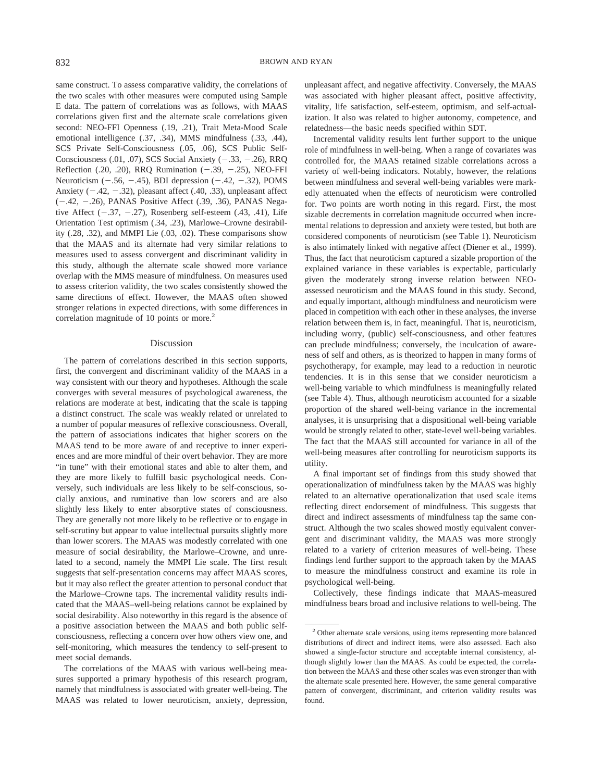same construct. To assess comparative validity, the correlations of the two scales with other measures were computed using Sample E data. The pattern of correlations was as follows, with MAAS correlations given first and the alternate scale correlations given second: NEO-FFI Openness (.19, .21), Trait Meta-Mood Scale emotional intelligence (.37, .34), MMS mindfulness (.33, .44), SCS Private Self-Consciousness (.05, .06), SCS Public Self-Consciousness (.01, .07), SCS Social Anxiety  $(-.33, -.26)$ , RRQ Reflection (.20, .20), RRQ Rumination  $(-.39, -.25)$ , NEO-FFI Neuroticism  $(-.56, -.45)$ , BDI depression  $(-.42, -.32)$ , POMS Anxiety  $(-.42, -.32)$ , pleasant affect  $(.40, .33)$ , unpleasant affect  $(-.42, -.26)$ , PANAS Positive Affect  $(.39, .36)$ , PANAS Negative Affect  $(-.37, -.27)$ , Rosenberg self-esteem  $(.43, .41)$ , Life Orientation Test optimism (.34, .23), Marlowe–Crowne desirability (.28, .32), and MMPI Lie (.03, .02). These comparisons show that the MAAS and its alternate had very similar relations to measures used to assess convergent and discriminant validity in this study, although the alternate scale showed more variance overlap with the MMS measure of mindfulness. On measures used to assess criterion validity, the two scales consistently showed the same directions of effect. However, the MAAS often showed stronger relations in expected directions, with some differences in correlation magnitude of 10 points or more.<sup>2</sup>

# Discussion

The pattern of correlations described in this section supports, first, the convergent and discriminant validity of the MAAS in a way consistent with our theory and hypotheses. Although the scale converges with several measures of psychological awareness, the relations are moderate at best, indicating that the scale is tapping a distinct construct. The scale was weakly related or unrelated to a number of popular measures of reflexive consciousness. Overall, the pattern of associations indicates that higher scorers on the MAAS tend to be more aware of and receptive to inner experiences and are more mindful of their overt behavior. They are more "in tune" with their emotional states and able to alter them, and they are more likely to fulfill basic psychological needs. Conversely, such individuals are less likely to be self-conscious, socially anxious, and ruminative than low scorers and are also slightly less likely to enter absorptive states of consciousness. They are generally not more likely to be reflective or to engage in self-scrutiny but appear to value intellectual pursuits slightly more than lower scorers. The MAAS was modestly correlated with one measure of social desirability, the Marlowe–Crowne, and unrelated to a second, namely the MMPI Lie scale. The first result suggests that self-presentation concerns may affect MAAS scores, but it may also reflect the greater attention to personal conduct that the Marlowe–Crowne taps. The incremental validity results indicated that the MAAS–well-being relations cannot be explained by social desirability. Also noteworthy in this regard is the absence of a positive association between the MAAS and both public selfconsciousness, reflecting a concern over how others view one, and self-monitoring, which measures the tendency to self-present to meet social demands.

The correlations of the MAAS with various well-being measures supported a primary hypothesis of this research program, namely that mindfulness is associated with greater well-being. The MAAS was related to lower neuroticism, anxiety, depression, unpleasant affect, and negative affectivity. Conversely, the MAAS was associated with higher pleasant affect, positive affectivity, vitality, life satisfaction, self-esteem, optimism, and self-actualization. It also was related to higher autonomy, competence, and relatedness—the basic needs specified within SDT.

Incremental validity results lent further support to the unique role of mindfulness in well-being. When a range of covariates was controlled for, the MAAS retained sizable correlations across a variety of well-being indicators. Notably, however, the relations between mindfulness and several well-being variables were markedly attenuated when the effects of neuroticism were controlled for. Two points are worth noting in this regard. First, the most sizable decrements in correlation magnitude occurred when incremental relations to depression and anxiety were tested, but both are considered components of neuroticism (see Table 1). Neuroticism is also intimately linked with negative affect (Diener et al., 1999). Thus, the fact that neuroticism captured a sizable proportion of the explained variance in these variables is expectable, particularly given the moderately strong inverse relation between NEOassessed neuroticism and the MAAS found in this study. Second, and equally important, although mindfulness and neuroticism were placed in competition with each other in these analyses, the inverse relation between them is, in fact, meaningful. That is, neuroticism, including worry, (public) self-consciousness, and other features can preclude mindfulness; conversely, the inculcation of awareness of self and others, as is theorized to happen in many forms of psychotherapy, for example, may lead to a reduction in neurotic tendencies. It is in this sense that we consider neuroticism a well-being variable to which mindfulness is meaningfully related (see Table 4). Thus, although neuroticism accounted for a sizable proportion of the shared well-being variance in the incremental analyses, it is unsurprising that a dispositional well-being variable would be strongly related to other, state-level well-being variables. The fact that the MAAS still accounted for variance in all of the well-being measures after controlling for neuroticism supports its utility.

A final important set of findings from this study showed that operationalization of mindfulness taken by the MAAS was highly related to an alternative operationalization that used scale items reflecting direct endorsement of mindfulness. This suggests that direct and indirect assessments of mindfulness tap the same construct. Although the two scales showed mostly equivalent convergent and discriminant validity, the MAAS was more strongly related to a variety of criterion measures of well-being. These findings lend further support to the approach taken by the MAAS to measure the mindfulness construct and examine its role in psychological well-being.

Collectively, these findings indicate that MAAS-measured mindfulness bears broad and inclusive relations to well-being. The

<sup>&</sup>lt;sup>2</sup> Other alternate scale versions, using items representing more balanced distributions of direct and indirect items, were also assessed. Each also showed a single-factor structure and acceptable internal consistency, although slightly lower than the MAAS. As could be expected, the correlation between the MAAS and these other scales was even stronger than with the alternate scale presented here. However, the same general comparative pattern of convergent, discriminant, and criterion validity results was found.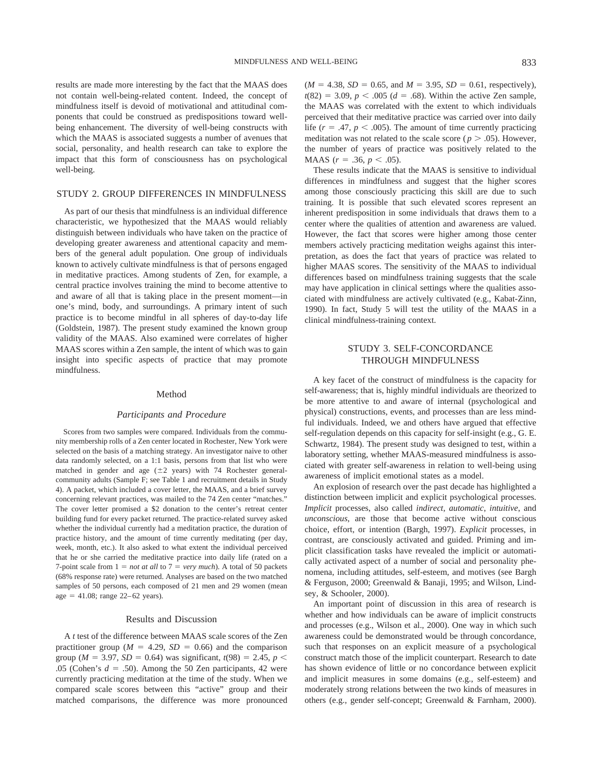results are made more interesting by the fact that the MAAS does not contain well-being-related content. Indeed, the concept of mindfulness itself is devoid of motivational and attitudinal components that could be construed as predispositions toward wellbeing enhancement. The diversity of well-being constructs with which the MAAS is associated suggests a number of avenues that social, personality, and health research can take to explore the impact that this form of consciousness has on psychological well-being.

### STUDY 2. GROUP DIFFERENCES IN MINDFULNESS

As part of our thesis that mindfulness is an individual difference characteristic, we hypothesized that the MAAS would reliably distinguish between individuals who have taken on the practice of developing greater awareness and attentional capacity and members of the general adult population. One group of individuals known to actively cultivate mindfulness is that of persons engaged in meditative practices. Among students of Zen, for example, a central practice involves training the mind to become attentive to and aware of all that is taking place in the present moment—in one's mind, body, and surroundings. A primary intent of such practice is to become mindful in all spheres of day-to-day life (Goldstein, 1987). The present study examined the known group validity of the MAAS. Also examined were correlates of higher MAAS scores within a Zen sample, the intent of which was to gain insight into specific aspects of practice that may promote mindfulness.

#### Method

#### *Participants and Procedure*

Scores from two samples were compared. Individuals from the community membership rolls of a Zen center located in Rochester, New York were selected on the basis of a matching strategy. An investigator naive to other data randomly selected, on a 1:1 basis, persons from that list who were matched in gender and age  $(\pm 2$  years) with 74 Rochester generalcommunity adults (Sample F; see Table 1 and recruitment details in Study 4). A packet, which included a cover letter, the MAAS, and a brief survey concerning relevant practices, was mailed to the 74 Zen center "matches." The cover letter promised a \$2 donation to the center's retreat center building fund for every packet returned. The practice-related survey asked whether the individual currently had a meditation practice, the duration of practice history, and the amount of time currently meditating (per day, week, month, etc.). It also asked to what extent the individual perceived that he or she carried the meditative practice into daily life (rated on a 7-point scale from  $1 = not$  *at all* to  $7 = very$  *much*). A total of 50 packets (68% response rate) were returned. Analyses are based on the two matched samples of 50 persons, each composed of 21 men and 29 women (mean  $age = 41.08$ ; range 22–62 years).

# Results and Discussion

A *t* test of the difference between MAAS scale scores of the Zen practitioner group ( $M = 4.29$ ,  $SD = 0.66$ ) and the comparison group ( $M = 3.97$ ,  $SD = 0.64$ ) was significant,  $t(98) = 2.45$ ,  $p <$ .05 (Cohen's  $d = .50$ ). Among the 50 Zen participants, 42 were currently practicing meditation at the time of the study. When we compared scale scores between this "active" group and their matched comparisons, the difference was more pronounced

 $(M = 4.38, SD = 0.65, and M = 3.95, SD = 0.61, respectively)$ ,  $t(82) = 3.09, p < .005$  ( $d = .68$ ). Within the active Zen sample, the MAAS was correlated with the extent to which individuals perceived that their meditative practice was carried over into daily life  $(r = .47, p < .005)$ . The amount of time currently practicing meditation was not related to the scale score ( $p > .05$ ). However, the number of years of practice was positively related to the MAAS  $(r = .36, p < .05)$ .

These results indicate that the MAAS is sensitive to individual differences in mindfulness and suggest that the higher scores among those consciously practicing this skill are due to such training. It is possible that such elevated scores represent an inherent predisposition in some individuals that draws them to a center where the qualities of attention and awareness are valued. However, the fact that scores were higher among those center members actively practicing meditation weighs against this interpretation, as does the fact that years of practice was related to higher MAAS scores. The sensitivity of the MAAS to individual differences based on mindfulness training suggests that the scale may have application in clinical settings where the qualities associated with mindfulness are actively cultivated (e.g., Kabat-Zinn, 1990). In fact, Study 5 will test the utility of the MAAS in a clinical mindfulness-training context.

# STUDY 3. SELF-CONCORDANCE THROUGH MINDFULNESS

A key facet of the construct of mindfulness is the capacity for self-awareness; that is, highly mindful individuals are theorized to be more attentive to and aware of internal (psychological and physical) constructions, events, and processes than are less mindful individuals. Indeed, we and others have argued that effective self-regulation depends on this capacity for self-insight (e.g., G. E. Schwartz, 1984). The present study was designed to test, within a laboratory setting, whether MAAS-measured mindfulness is associated with greater self-awareness in relation to well-being using awareness of implicit emotional states as a model.

An explosion of research over the past decade has highlighted a distinction between implicit and explicit psychological processes. *Implicit* processes, also called *indirect*, *automatic*, *intuitive*, and *unconscious*, are those that become active without conscious choice, effort, or intention (Bargh, 1997). *Explicit* processes, in contrast, are consciously activated and guided. Priming and implicit classification tasks have revealed the implicit or automatically activated aspect of a number of social and personality phenomena, including attitudes, self-esteem, and motives (see Bargh & Ferguson, 2000; Greenwald & Banaji, 1995; and Wilson, Lindsey, & Schooler, 2000).

An important point of discussion in this area of research is whether and how individuals can be aware of implicit constructs and processes (e.g., Wilson et al., 2000). One way in which such awareness could be demonstrated would be through concordance, such that responses on an explicit measure of a psychological construct match those of the implicit counterpart. Research to date has shown evidence of little or no concordance between explicit and implicit measures in some domains (e.g., self-esteem) and moderately strong relations between the two kinds of measures in others (e.g., gender self-concept; Greenwald & Farnham, 2000).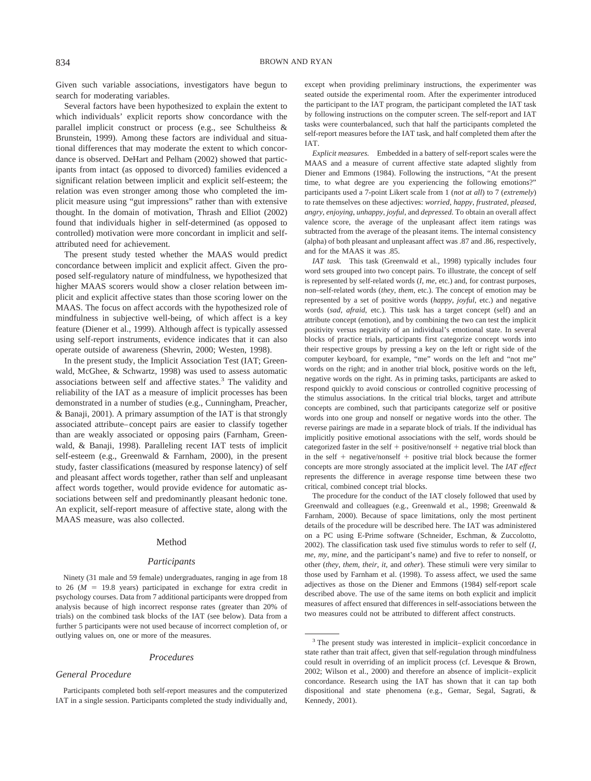Given such variable associations, investigators have begun to search for moderating variables.

Several factors have been hypothesized to explain the extent to which individuals' explicit reports show concordance with the parallel implicit construct or process (e.g., see Schultheiss & Brunstein, 1999). Among these factors are individual and situational differences that may moderate the extent to which concordance is observed. DeHart and Pelham (2002) showed that participants from intact (as opposed to divorced) families evidenced a significant relation between implicit and explicit self-esteem; the relation was even stronger among those who completed the implicit measure using "gut impressions" rather than with extensive thought. In the domain of motivation, Thrash and Elliot (2002) found that individuals higher in self-determined (as opposed to controlled) motivation were more concordant in implicit and selfattributed need for achievement.

The present study tested whether the MAAS would predict concordance between implicit and explicit affect. Given the proposed self-regulatory nature of mindfulness, we hypothesized that higher MAAS scorers would show a closer relation between implicit and explicit affective states than those scoring lower on the MAAS. The focus on affect accords with the hypothesized role of mindfulness in subjective well-being, of which affect is a key feature (Diener et al., 1999). Although affect is typically assessed using self-report instruments, evidence indicates that it can also operate outside of awareness (Shevrin, 2000; Westen, 1998).

In the present study, the Implicit Association Test (IAT; Greenwald, McGhee, & Schwartz, 1998) was used to assess automatic associations between self and affective states.3 The validity and reliability of the IAT as a measure of implicit processes has been demonstrated in a number of studies (e.g., Cunningham, Preacher, & Banaji, 2001). A primary assumption of the IAT is that strongly associated attribute–concept pairs are easier to classify together than are weakly associated or opposing pairs (Farnham, Greenwald, & Banaji, 1998). Paralleling recent IAT tests of implicit self-esteem (e.g., Greenwald & Farnham, 2000), in the present study, faster classifications (measured by response latency) of self and pleasant affect words together, rather than self and unpleasant affect words together, would provide evidence for automatic associations between self and predominantly pleasant hedonic tone. An explicit, self-report measure of affective state, along with the MAAS measure, was also collected.

#### Method

#### *Participants*

Ninety (31 male and 59 female) undergraduates, ranging in age from 18 to  $26$  ( $M = 19.8$  years) participated in exchange for extra credit in psychology courses. Data from 7 additional participants were dropped from analysis because of high incorrect response rates (greater than 20% of trials) on the combined task blocks of the IAT (see below). Data from a further 5 participants were not used because of incorrect completion of, or outlying values on, one or more of the measures.

#### *Procedures*

## *General Procedure*

except when providing preliminary instructions, the experimenter was seated outside the experimental room. After the experimenter introduced the participant to the IAT program, the participant completed the IAT task by following instructions on the computer screen. The self-report and IAT tasks were counterbalanced, such that half the participants completed the self-report measures before the IAT task, and half completed them after the IAT.

*Explicit measures.* Embedded in a battery of self-report scales were the MAAS and a measure of current affective state adapted slightly from Diener and Emmons (1984). Following the instructions, "At the present time, to what degree are you experiencing the following emotions?" participants used a 7-point Likert scale from 1 (*not at all*) to 7 (*extremely*) to rate themselves on these adjectives: *worried*, *happy*, *frustrated*, *pleased*, *angry*, *enjoying*, *unhappy*, *joyful*, and *depressed*. To obtain an overall affect valence score, the average of the unpleasant affect item ratings was subtracted from the average of the pleasant items. The internal consistency (alpha) of both pleasant and unpleasant affect was .87 and .86, respectively, and for the MAAS it was .85.

*IAT task.* This task (Greenwald et al., 1998) typically includes four word sets grouped into two concept pairs. To illustrate, the concept of self is represented by self-related words (*I*, *me*, etc.) and, for contrast purposes, non–self-related words (*they*, *them*, etc.). The concept of emotion may be represented by a set of positive words (*happy*, *joyful*, etc.) and negative words (*sad*, *afraid*, etc.). This task has a target concept (self) and an attribute concept (emotion), and by combining the two can test the implicit positivity versus negativity of an individual's emotional state. In several blocks of practice trials, participants first categorize concept words into their respective groups by pressing a key on the left or right side of the computer keyboard, for example, "me" words on the left and "not me" words on the right; and in another trial block, positive words on the left, negative words on the right. As in priming tasks, participants are asked to respond quickly to avoid conscious or controlled cognitive processing of the stimulus associations. In the critical trial blocks, target and attribute concepts are combined, such that participants categorize self or positive words into one group and nonself or negative words into the other. The reverse pairings are made in a separate block of trials. If the individual has implicitly positive emotional associations with the self, words should be categorized faster in the self  $+$  positive/nonself  $+$  negative trial block than in the self  $+$  negative/nonself  $+$  positive trial block because the former concepts are more strongly associated at the implicit level. The *IAT effect* represents the difference in average response time between these two critical, combined concept trial blocks.

The procedure for the conduct of the IAT closely followed that used by Greenwald and colleagues (e.g., Greenwald et al., 1998; Greenwald & Farnham, 2000). Because of space limitations, only the most pertinent details of the procedure will be described here. The IAT was administered on a PC using E-Prime software (Schneider, Eschman, & Zuccolotto, 2002). The classification task used five stimulus words to refer to self (*I*, *me*, *my*, *mine*, and the participant's name) and five to refer to nonself, or other (*they*, *them*, *their*, *it*, and *other*). These stimuli were very similar to those used by Farnham et al. (1998). To assess affect, we used the same adjectives as those on the Diener and Emmons (1984) self-report scale described above. The use of the same items on both explicit and implicit measures of affect ensured that differences in self-associations between the two measures could not be attributed to different affect constructs.

Participants completed both self-report measures and the computerized IAT in a single session. Participants completed the study individually and,

<sup>3</sup> The present study was interested in implicit–explicit concordance in state rather than trait affect, given that self-regulation through mindfulness could result in overriding of an implicit process (cf. Levesque & Brown, 2002; Wilson et al., 2000) and therefore an absence of implicit–explicit concordance. Research using the IAT has shown that it can tap both dispositional and state phenomena (e.g., Gemar, Segal, Sagrati, & Kennedy, 2001).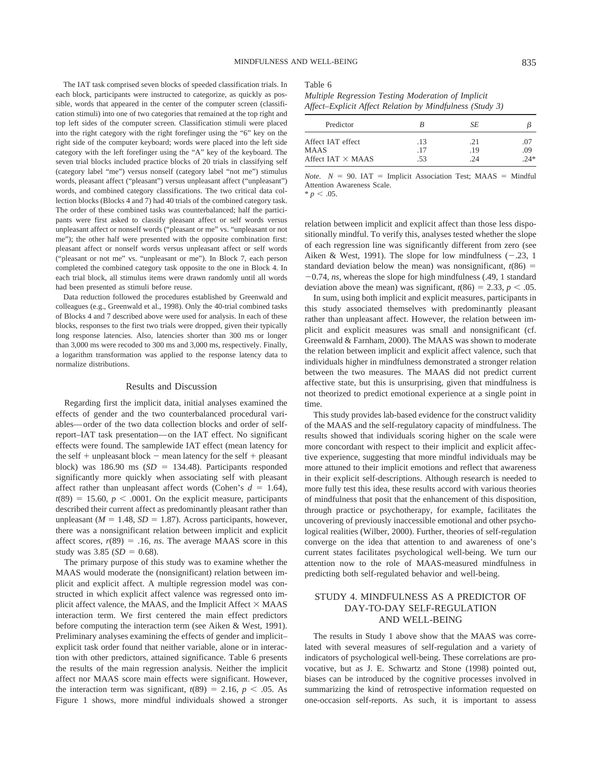The IAT task comprised seven blocks of speeded classification trials. In each block, participants were instructed to categorize, as quickly as possible, words that appeared in the center of the computer screen (classification stimuli) into one of two categories that remained at the top right and top left sides of the computer screen. Classification stimuli were placed into the right category with the right forefinger using the "6" key on the right side of the computer keyboard; words were placed into the left side category with the left forefinger using the "A" key of the keyboard. The seven trial blocks included practice blocks of 20 trials in classifying self (category label "me") versus nonself (category label "not me") stimulus words, pleasant affect ("pleasant") versus unpleasant affect ("unpleasant") words, and combined category classifications. The two critical data collection blocks (Blocks 4 and 7) had 40 trials of the combined category task. The order of these combined tasks was counterbalanced; half the participants were first asked to classify pleasant affect or self words versus unpleasant affect or nonself words ("pleasant or me" vs. "unpleasant or not me"); the other half were presented with the opposite combination first: pleasant affect or nonself words versus unpleasant affect or self words ("pleasant or not me" vs. "unpleasant or me"). In Block 7, each person completed the combined category task opposite to the one in Block 4. In each trial block, all stimulus items were drawn randomly until all words had been presented as stimuli before reuse.

Data reduction followed the procedures established by Greenwald and colleagues (e.g., Greenwald et al., 1998). Only the 40-trial combined tasks of Blocks 4 and 7 described above were used for analysis. In each of these blocks, responses to the first two trials were dropped, given their typically long response latencies. Also, latencies shorter than 300 ms or longer than 3,000 ms were recoded to 300 ms and 3,000 ms, respectively. Finally, a logarithm transformation was applied to the response latency data to normalize distributions.

#### Results and Discussion

Regarding first the implicit data, initial analyses examined the effects of gender and the two counterbalanced procedural variables—order of the two data collection blocks and order of selfreport–IAT task presentation—on the IAT effect. No significant effects were found. The samplewide IAT effect (mean latency for the self  $+$  unpleasant block  $-$  mean latency for the self  $+$  pleasant block) was  $186.90 \text{ ms}$  ( $SD = 134.48$ ). Participants responded significantly more quickly when associating self with pleasant affect rather than unpleasant affect words (Cohen's  $d = 1.64$ ),  $t(89) = 15.60, p < .0001$ . On the explicit measure, participants described their current affect as predominantly pleasant rather than unpleasant ( $M = 1.48$ ,  $SD = 1.87$ ). Across participants, however, there was a nonsignificant relation between implicit and explicit affect scores,  $r(89) = .16$ , *ns*. The average MAAS score in this study was  $3.85$  ( $SD = 0.68$ ).

The primary purpose of this study was to examine whether the MAAS would moderate the (nonsignificant) relation between implicit and explicit affect. A multiple regression model was constructed in which explicit affect valence was regressed onto implicit affect valence, the MAAS, and the Implicit Affect  $\times$  MAAS interaction term. We first centered the main effect predictors before computing the interaction term (see Aiken & West, 1991). Preliminary analyses examining the effects of gender and implicit– explicit task order found that neither variable, alone or in interaction with other predictors, attained significance. Table 6 presents the results of the main regression analysis. Neither the implicit affect nor MAAS score main effects were significant. However, the interaction term was significant,  $t(89) = 2.16$ ,  $p < .05$ . As Figure 1 shows, more mindful individuals showed a stronger

# Table 6

*Multiple Regression Testing Moderation of Implicit Affect–Explicit Affect Relation by Mindfulness (Study 3)*

| Predictor                | В   | SE  |       |
|--------------------------|-----|-----|-------|
| Affect IAT effect        | .13 | .21 | .07   |
| MAAS                     | .17 | .19 | .09   |
| Affect IAT $\times$ MAAS | .53 | .24 | $24*$ |

*Note.*  $N = 90$ . IAT = Implicit Association Test; MAAS = Mindful Attention Awareness Scale.  $* p < .05.$ 

relation between implicit and explicit affect than those less dispositionally mindful. To verify this, analyses tested whether the slope of each regression line was significantly different from zero (see Aiken & West, 1991). The slope for low mindfulness  $(-.23, 1)$ standard deviation below the mean) was nonsignificant,  $t(86)$  =  $-0.74$ , *ns*, whereas the slope for high mindfulness (.49, 1 standard deviation above the mean) was significant,  $t(86) = 2.33$ ,  $p < .05$ .

In sum, using both implicit and explicit measures, participants in this study associated themselves with predominantly pleasant rather than unpleasant affect. However, the relation between implicit and explicit measures was small and nonsignificant (cf. Greenwald & Farnham, 2000). The MAAS was shown to moderate the relation between implicit and explicit affect valence, such that individuals higher in mindfulness demonstrated a stronger relation between the two measures. The MAAS did not predict current affective state, but this is unsurprising, given that mindfulness is not theorized to predict emotional experience at a single point in time.

This study provides lab-based evidence for the construct validity of the MAAS and the self-regulatory capacity of mindfulness. The results showed that individuals scoring higher on the scale were more concordant with respect to their implicit and explicit affective experience, suggesting that more mindful individuals may be more attuned to their implicit emotions and reflect that awareness in their explicit self-descriptions. Although research is needed to more fully test this idea, these results accord with various theories of mindfulness that posit that the enhancement of this disposition, through practice or psychotherapy, for example, facilitates the uncovering of previously inaccessible emotional and other psychological realities (Wilber, 2000). Further, theories of self-regulation converge on the idea that attention to and awareness of one's current states facilitates psychological well-being. We turn our attention now to the role of MAAS-measured mindfulness in predicting both self-regulated behavior and well-being.

# STUDY 4. MINDFULNESS AS A PREDICTOR OF DAY-TO-DAY SELF-REGULATION AND WELL-BEING

The results in Study 1 above show that the MAAS was correlated with several measures of self-regulation and a variety of indicators of psychological well-being. These correlations are provocative, but as J. E. Schwartz and Stone (1998) pointed out, biases can be introduced by the cognitive processes involved in summarizing the kind of retrospective information requested on one-occasion self-reports. As such, it is important to assess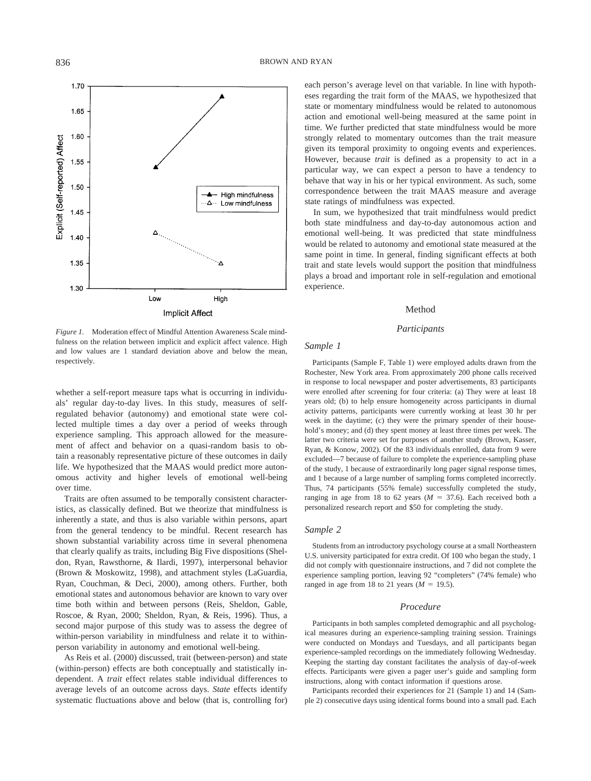

*Figure 1.* Moderation effect of Mindful Attention Awareness Scale mindfulness on the relation between implicit and explicit affect valence. High and low values are 1 standard deviation above and below the mean, respectively.

whether a self-report measure taps what is occurring in individuals' regular day-to-day lives. In this study, measures of selfregulated behavior (autonomy) and emotional state were collected multiple times a day over a period of weeks through experience sampling. This approach allowed for the measurement of affect and behavior on a quasi-random basis to obtain a reasonably representative picture of these outcomes in daily life. We hypothesized that the MAAS would predict more autonomous activity and higher levels of emotional well-being over time.

Traits are often assumed to be temporally consistent characteristics, as classically defined. But we theorize that mindfulness is inherently a state, and thus is also variable within persons, apart from the general tendency to be mindful. Recent research has shown substantial variability across time in several phenomena that clearly qualify as traits, including Big Five dispositions (Sheldon, Ryan, Rawsthorne, & Ilardi, 1997), interpersonal behavior (Brown & Moskowitz, 1998), and attachment styles (LaGuardia, Ryan, Couchman, & Deci, 2000), among others. Further, both emotional states and autonomous behavior are known to vary over time both within and between persons (Reis, Sheldon, Gable, Roscoe, & Ryan, 2000; Sheldon, Ryan, & Reis, 1996). Thus, a second major purpose of this study was to assess the degree of within-person variability in mindfulness and relate it to withinperson variability in autonomy and emotional well-being.

As Reis et al. (2000) discussed, trait (between-person) and state (within-person) effects are both conceptually and statistically independent. A *trait* effect relates stable individual differences to average levels of an outcome across days. *State* effects identify systematic fluctuations above and below (that is, controlling for) each person's average level on that variable. In line with hypotheses regarding the trait form of the MAAS, we hypothesized that state or momentary mindfulness would be related to autonomous action and emotional well-being measured at the same point in time. We further predicted that state mindfulness would be more strongly related to momentary outcomes than the trait measure given its temporal proximity to ongoing events and experiences. However, because *trait* is defined as a propensity to act in a particular way, we can expect a person to have a tendency to behave that way in his or her typical environment. As such, some correspondence between the trait MAAS measure and average state ratings of mindfulness was expected.

In sum, we hypothesized that trait mindfulness would predict both state mindfulness and day-to-day autonomous action and emotional well-being. It was predicted that state mindfulness would be related to autonomy and emotional state measured at the same point in time. In general, finding significant effects at both trait and state levels would support the position that mindfulness plays a broad and important role in self-regulation and emotional experience.

#### Method

#### *Participants*

#### *Sample 1*

Participants (Sample F, Table 1) were employed adults drawn from the Rochester, New York area. From approximately 200 phone calls received in response to local newspaper and poster advertisements, 83 participants were enrolled after screening for four criteria: (a) They were at least 18 years old; (b) to help ensure homogeneity across participants in diurnal activity patterns, participants were currently working at least 30 hr per week in the daytime; (c) they were the primary spender of their household's money; and (d) they spent money at least three times per week. The latter two criteria were set for purposes of another study (Brown, Kasser, Ryan, & Konow, 2002). Of the 83 individuals enrolled, data from 9 were excluded—7 because of failure to complete the experience-sampling phase of the study, 1 because of extraordinarily long pager signal response times, and 1 because of a large number of sampling forms completed incorrectly. Thus, 74 participants (55% female) successfully completed the study, ranging in age from 18 to 62 years  $(M = 37.6)$ . Each received both a personalized research report and \$50 for completing the study.

#### *Sample 2*

Students from an introductory psychology course at a small Northeastern U.S. university participated for extra credit. Of 100 who began the study, 1 did not comply with questionnaire instructions, and 7 did not complete the experience sampling portion, leaving 92 "completers" (74% female) who ranged in age from 18 to 21 years  $(M = 19.5)$ .

# *Procedure*

Participants in both samples completed demographic and all psychological measures during an experience-sampling training session. Trainings were conducted on Mondays and Tuesdays, and all participants began experience-sampled recordings on the immediately following Wednesday. Keeping the starting day constant facilitates the analysis of day-of-week effects. Participants were given a pager user's guide and sampling form instructions, along with contact information if questions arose.

Participants recorded their experiences for 21 (Sample 1) and 14 (Sample 2) consecutive days using identical forms bound into a small pad. Each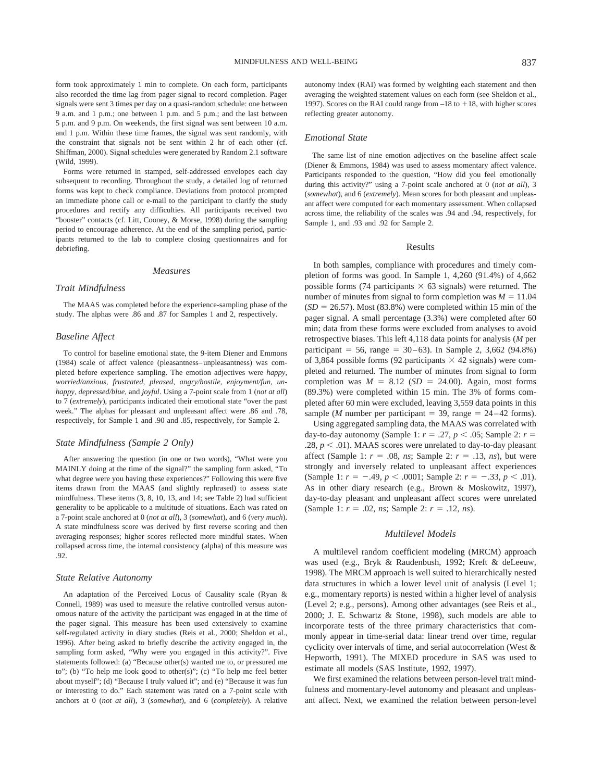form took approximately 1 min to complete. On each form, participants also recorded the time lag from pager signal to record completion. Pager signals were sent 3 times per day on a quasi-random schedule: one between 9 a.m. and 1 p.m.; one between 1 p.m. and 5 p.m.; and the last between 5 p.m. and 9 p.m. On weekends, the first signal was sent between 10 a.m. and 1 p.m. Within these time frames, the signal was sent randomly, with the constraint that signals not be sent within 2 hr of each other (cf. Shiffman, 2000). Signal schedules were generated by Random 2.1 software (Wild, 1999).

Forms were returned in stamped, self-addressed envelopes each day subsequent to recording. Throughout the study, a detailed log of returned forms was kept to check compliance. Deviations from protocol prompted an immediate phone call or e-mail to the participant to clarify the study procedures and rectify any difficulties. All participants received two "booster" contacts (cf. Litt, Cooney, & Morse, 1998) during the sampling period to encourage adherence. At the end of the sampling period, participants returned to the lab to complete closing questionnaires and for debriefing.

#### *Measures*

# *Trait Mindfulness*

The MAAS was completed before the experience-sampling phase of the study. The alphas were .86 and .87 for Samples 1 and 2, respectively.

# *Baseline Affect*

To control for baseline emotional state, the 9-item Diener and Emmons (1984) scale of affect valence (pleasantness–unpleasantness) was completed before experience sampling. The emotion adjectives were *happy*, *worried/anxious*, *frustrated*, *pleased*, *angry/hostile*, *enjoyment/fun*, *unhappy*, *depressed/blue*, and *joyful*. Using a 7-point scale from 1 (*not at all*) to 7 (*extremely*), participants indicated their emotional state "over the past week." The alphas for pleasant and unpleasant affect were .86 and .78, respectively, for Sample 1 and .90 and .85, respectively, for Sample 2.

# *State Mindfulness (Sample 2 Only)*

After answering the question (in one or two words), "What were you MAINLY doing at the time of the signal?" the sampling form asked, "To what degree were you having these experiences?" Following this were five items drawn from the MAAS (and slightly rephrased) to assess state mindfulness. These items (3, 8, 10, 13, and 14; see Table 2) had sufficient generality to be applicable to a multitude of situations. Each was rated on a 7-point scale anchored at 0 (*not at all*), 3 (*somewhat*), and 6 (*very much*). A state mindfulness score was derived by first reverse scoring and then averaging responses; higher scores reflected more mindful states. When collapsed across time, the internal consistency (alpha) of this measure was .92.

#### *State Relative Autonomy*

An adaptation of the Perceived Locus of Causality scale (Ryan & Connell, 1989) was used to measure the relative controlled versus autonomous nature of the activity the participant was engaged in at the time of the pager signal. This measure has been used extensively to examine self-regulated activity in diary studies (Reis et al., 2000; Sheldon et al., 1996). After being asked to briefly describe the activity engaged in, the sampling form asked, "Why were you engaged in this activity?". Five statements followed: (a) "Because other(s) wanted me to, or pressured me to"; (b) "To help me look good to other(s)"; (c) "To help me feel better about myself"; (d) "Because I truly valued it"; and (e) "Because it was fun or interesting to do." Each statement was rated on a 7-point scale with anchors at 0 (*not at all*), 3 (*somewhat*), and 6 (*completely*). A relative autonomy index (RAI) was formed by weighting each statement and then averaging the weighted statement values on each form (see Sheldon et al., 1997). Scores on the RAI could range from  $-18$  to  $+18$ , with higher scores reflecting greater autonomy.

#### *Emotional State*

The same list of nine emotion adjectives on the baseline affect scale (Diener & Emmons, 1984) was used to assess momentary affect valence. Participants responded to the question, "How did you feel emotionally during this activity?" using a 7-point scale anchored at 0 (*not at all*), 3 (*somewhat*), and 6 (*extremely*). Mean scores for both pleasant and unpleasant affect were computed for each momentary assessment. When collapsed across time, the reliability of the scales was .94 and .94, respectively, for Sample 1, and .93 and .92 for Sample 2.

#### Results

In both samples, compliance with procedures and timely completion of forms was good. In Sample 1, 4,260 (91.4%) of 4,662 possible forms (74 participants  $\times$  63 signals) were returned. The number of minutes from signal to form completion was  $M = 11.04$  $(SD = 26.57)$ . Most (83.8%) were completed within 15 min of the pager signal. A small percentage (3.3%) were completed after 60 min; data from these forms were excluded from analyses to avoid retrospective biases. This left 4,118 data points for analysis (*M* per participant = 56, range =  $30-63$ ). In Sample 2, 3,662 (94.8%) of 3,864 possible forms (92 participants  $\times$  42 signals) were completed and returned. The number of minutes from signal to form completion was  $M = 8.12$  (*SD* = 24.00). Again, most forms (89.3%) were completed within 15 min. The 3% of forms completed after 60 min were excluded, leaving 3,559 data points in this sample (*M* number per participant = 39, range =  $24-42$  forms).

Using aggregated sampling data, the MAAS was correlated with day-to-day autonomy (Sample 1:  $r = .27$ ,  $p < .05$ ; Sample 2:  $r =$ .28,  $p < .01$ ). MAAS scores were unrelated to day-to-day pleasant affect (Sample 1:  $r = .08$ , *ns*; Sample 2:  $r = .13$ , *ns*), but were strongly and inversely related to unpleasant affect experiences  $(Sample 1: r = -.49, p < .0001; Sample 2: r = -.33, p < .01).$ As in other diary research (e.g., Brown & Moskowitz, 1997), day-to-day pleasant and unpleasant affect scores were unrelated (Sample 1:  $r = .02$ , *ns*; Sample 2:  $r = .12$ , *ns*).

# *Multilevel Models*

A multilevel random coefficient modeling (MRCM) approach was used (e.g., Bryk & Raudenbush, 1992; Kreft & deLeeuw, 1998). The MRCM approach is well suited to hierarchically nested data structures in which a lower level unit of analysis (Level 1; e.g., momentary reports) is nested within a higher level of analysis (Level 2; e.g., persons). Among other advantages (see Reis et al., 2000; J. E. Schwartz & Stone, 1998), such models are able to incorporate tests of the three primary characteristics that commonly appear in time-serial data: linear trend over time, regular cyclicity over intervals of time, and serial autocorrelation (West & Hepworth, 1991). The MIXED procedure in SAS was used to estimate all models (SAS Institute, 1992, 1997).

We first examined the relations between person-level trait mindfulness and momentary-level autonomy and pleasant and unpleasant affect. Next, we examined the relation between person-level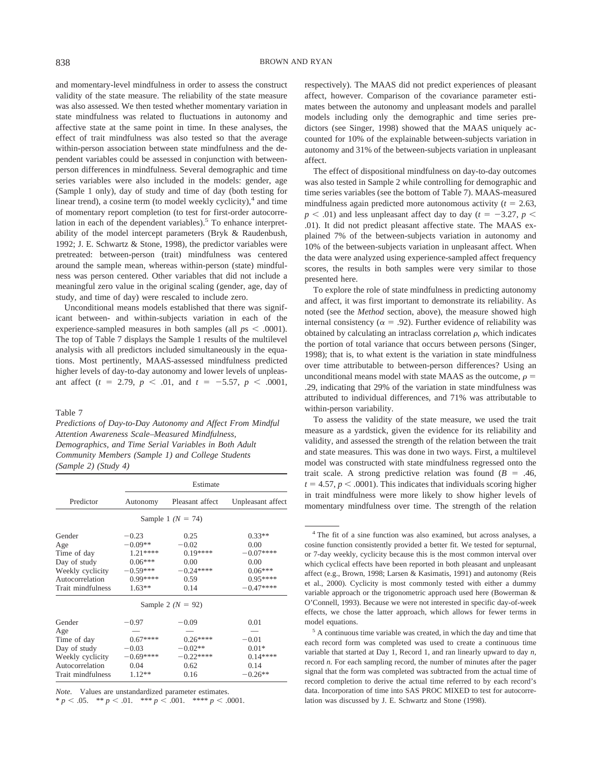and momentary-level mindfulness in order to assess the construct validity of the state measure. The reliability of the state measure was also assessed. We then tested whether momentary variation in state mindfulness was related to fluctuations in autonomy and affective state at the same point in time. In these analyses, the effect of trait mindfulness was also tested so that the average within-person association between state mindfulness and the dependent variables could be assessed in conjunction with betweenperson differences in mindfulness. Several demographic and time series variables were also included in the models: gender, age (Sample 1 only), day of study and time of day (both testing for linear trend), a cosine term (to model weekly cyclicity), $4$  and time of momentary report completion (to test for first-order autocorrelation in each of the dependent variables).5 To enhance interpretability of the model intercept parameters (Bryk & Raudenbush, 1992; J. E. Schwartz & Stone, 1998), the predictor variables were pretreated: between-person (trait) mindfulness was centered around the sample mean, whereas within-person (state) mindfulness was person centered. Other variables that did not include a meaningful zero value in the original scaling (gender, age, day of study, and time of day) were rescaled to include zero.

Unconditional means models established that there was significant between- and within-subjects variation in each of the experience-sampled measures in both samples (all  $ps < .0001$ ). The top of Table 7 displays the Sample 1 results of the multilevel analysis with all predictors included simultaneously in the equations. Most pertinently, MAAS-assessed mindfulness predicted higher levels of day-to-day autonomy and lower levels of unpleasant affect  $(t = 2.79, p < .01,$  and  $t = -5.57, p < .0001,$ 

Table 7

*Predictions of Day-to-Day Autonomy and Affect From Mindful Attention Awareness Scale–Measured Mindfulness, Demographics, and Time Serial Variables in Both Adult Community Members (Sample 1) and College Students (Sample 2) (Study 4)*

|                                                                                                          |                                                                                       | Estimate                                                           |                                                                                |  |  |  |  |
|----------------------------------------------------------------------------------------------------------|---------------------------------------------------------------------------------------|--------------------------------------------------------------------|--------------------------------------------------------------------------------|--|--|--|--|
| Predictor                                                                                                | Autonomy                                                                              | Pleasant affect                                                    | Unpleasant affect                                                              |  |  |  |  |
| Sample 1 ( $N = 74$ )                                                                                    |                                                                                       |                                                                    |                                                                                |  |  |  |  |
| Gender<br>Age<br>Time of day<br>Day of study<br>Weekly cyclicity<br>Autocorrelation<br>Trait mindfulness | $-0.23$<br>$-0.09**$<br>$1.21***$<br>$0.06***$<br>$-0.59***$<br>$0.99***$<br>$1.63**$ | 0.25<br>$-0.02$<br>$0.19***$<br>0.00<br>$-0.24***$<br>0.59<br>0.14 | $0.33**$<br>0.00<br>$-0.07***$<br>0.00<br>$0.06***$<br>$0.95***$<br>$-0.47***$ |  |  |  |  |
|                                                                                                          |                                                                                       | Sample 2 ( $N = 92$ )                                              |                                                                                |  |  |  |  |
| Gender<br>Age<br>Time of day<br>Day of study<br>Weekly cyclicity<br>Autocorrelation<br>Trait mindfulness | $-0.97$<br>$0.67***$<br>$-0.03$<br>$-0.69***$<br>0.04<br>$1.12**$                     | $-0.09$<br>$0.26***$<br>$-0.02**$<br>$-0.22***$<br>0.62<br>0.16    | 0.01<br>$-0.01$<br>$0.01*$<br>$0.14***$<br>0.14<br>$-0.26**$                   |  |  |  |  |

*Note.* Values are unstandardized parameter estimates.

 $* p < .05.$  \*\*  $p < .01.$  \*\*\*  $p < .001.$  \*\*\*\*  $p < .0001.$ 

respectively). The MAAS did not predict experiences of pleasant affect, however. Comparison of the covariance parameter estimates between the autonomy and unpleasant models and parallel models including only the demographic and time series predictors (see Singer, 1998) showed that the MAAS uniquely accounted for 10% of the explainable between-subjects variation in autonomy and 31% of the between-subjects variation in unpleasant affect.

The effect of dispositional mindfulness on day-to-day outcomes was also tested in Sample 2 while controlling for demographic and time series variables (see the bottom of Table 7). MAAS-measured mindfulness again predicted more autonomous activity  $(t = 2.63,$  $p$  < .01) and less unpleasant affect day to day ( $t = -3.27$ ,  $p$  < .01). It did not predict pleasant affective state. The MAAS explained 7% of the between-subjects variation in autonomy and 10% of the between-subjects variation in unpleasant affect. When the data were analyzed using experience-sampled affect frequency scores, the results in both samples were very similar to those presented here.

To explore the role of state mindfulness in predicting autonomy and affect, it was first important to demonstrate its reliability. As noted (see the *Method* section, above), the measure showed high internal consistency ( $\alpha = .92$ ). Further evidence of reliability was obtained by calculating an intraclass correlation  $\rho$ , which indicates the portion of total variance that occurs between persons (Singer, 1998); that is, to what extent is the variation in state mindfulness over time attributable to between-person differences? Using an unconditional means model with state MAAS as the outcome,  $\rho =$ .29, indicating that 29% of the variation in state mindfulness was attributed to individual differences, and 71% was attributable to within-person variability.

To assess the validity of the state measure, we used the trait measure as a yardstick, given the evidence for its reliability and validity, and assessed the strength of the relation between the trait and state measures. This was done in two ways. First, a multilevel model was constructed with state mindfulness regressed onto the trait scale. A strong predictive relation was found  $(B = .46, )$  $t = 4.57$ ,  $p < .0001$ ). This indicates that individuals scoring higher in trait mindfulness were more likely to show higher levels of momentary mindfulness over time. The strength of the relation

<sup>4</sup> The fit of a sine function was also examined, but across analyses, a cosine function consistently provided a better fit. We tested for septurnal, or 7-day weekly, cyclicity because this is the most common interval over which cyclical effects have been reported in both pleasant and unpleasant affect (e.g., Brown, 1998; Larsen & Kasimatis, 1991) and autonomy (Reis et al., 2000). Cyclicity is most commonly tested with either a dummy variable approach or the trigonometric approach used here (Bowerman & O'Connell, 1993). Because we were not interested in specific day-of-week effects, we chose the latter approach, which allows for fewer terms in model equations.

<sup>5</sup> A continuous time variable was created, in which the day and time that each record form was completed was used to create a continuous time variable that started at Day 1, Record 1, and ran linearly upward to day *n,* record *n.* For each sampling record, the number of minutes after the pager signal that the form was completed was subtracted from the actual time of record completion to derive the actual time referred to by each record's data. Incorporation of time into SAS PROC MIXED to test for autocorrelation was discussed by J. E. Schwartz and Stone (1998).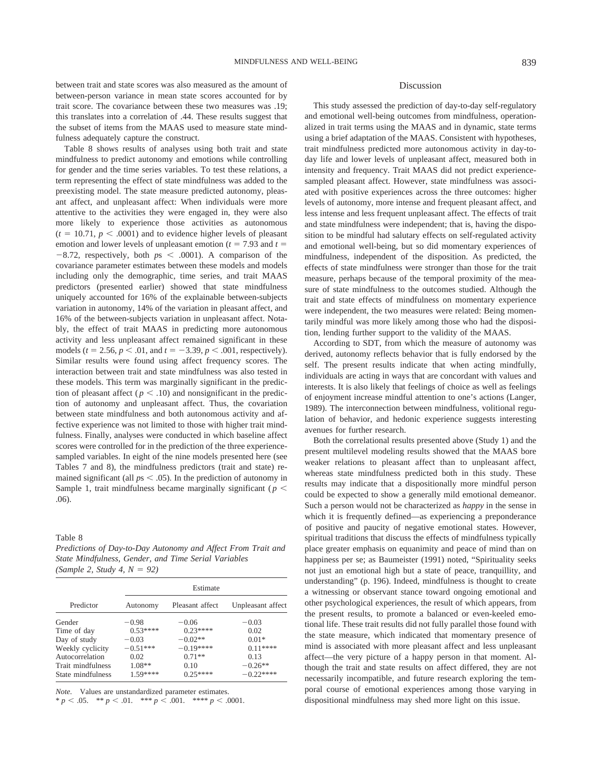Table 8 shows results of analyses using both trait and state mindfulness to predict autonomy and emotions while controlling for gender and the time series variables. To test these relations, a term representing the effect of state mindfulness was added to the preexisting model. The state measure predicted autonomy, pleasant affect, and unpleasant affect: When individuals were more attentive to the activities they were engaged in, they were also more likely to experience those activities as autonomous  $(t = 10.71, p < .0001)$  and to evidence higher levels of pleasant emotion and lower levels of unpleasant emotion ( $t = 7.93$  and  $t =$  $-8.72$ , respectively, both  $p_s < .0001$ ). A comparison of the covariance parameter estimates between these models and models including only the demographic, time series, and trait MAAS predictors (presented earlier) showed that state mindfulness uniquely accounted for 16% of the explainable between-subjects variation in autonomy, 14% of the variation in pleasant affect, and 16% of the between-subjects variation in unpleasant affect. Notably, the effect of trait MAAS in predicting more autonomous activity and less unpleasant affect remained significant in these models ( $t = 2.56$ ,  $p < .01$ , and  $t = -3.39$ ,  $p < .001$ , respectively). Similar results were found using affect frequency scores. The interaction between trait and state mindfulness was also tested in these models. This term was marginally significant in the prediction of pleasant affect ( $p < .10$ ) and nonsignificant in the prediction of autonomy and unpleasant affect. Thus, the covariation between state mindfulness and both autonomous activity and affective experience was not limited to those with higher trait mindfulness. Finally, analyses were conducted in which baseline affect scores were controlled for in the prediction of the three experiencesampled variables. In eight of the nine models presented here (see Tables 7 and 8), the mindfulness predictors (trait and state) remained significant (all  $ps < .05$ ). In the prediction of autonomy in Sample 1, trait mindfulness became marginally significant ( $p <$ .06).

#### Table 8

*Predictions of Day-to-Day Autonomy and Affect From Trait and State Mindfulness, Gender, and Time Serial Variables (Sample 2, Study 4, N* - *92)*

|                   |            | Estimate        |                   |
|-------------------|------------|-----------------|-------------------|
| Predictor         | Autonomy   | Pleasant affect | Unpleasant affect |
| Gender            | $-0.98$    | $-0.06$         | $-0.03$           |
| Time of day       | $0.53***$  | $0.23***$       | 0.02              |
| Day of study      | $-0.03$    | $-0.02**$       | $0.01*$           |
| Weekly cyclicity  | $-0.51***$ | $-0.19***$      | $0.11***$         |
| Autocorrelation   | 0.02       | $0.71**$        | 0.13              |
| Trait mindfulness | $1.08**$   | 0.10            | $-0.26**$         |
| State mindfulness | $1.59***$  | $0.25***$       | $-0.22***$        |

*Note.* Values are unstandardized parameter estimates.

 $* p < .05.$   $* p < .01.$   $* p < .001.$   $* p < .0001.$ 

#### Discussion

This study assessed the prediction of day-to-day self-regulatory and emotional well-being outcomes from mindfulness, operationalized in trait terms using the MAAS and in dynamic, state terms using a brief adaptation of the MAAS. Consistent with hypotheses, trait mindfulness predicted more autonomous activity in day-today life and lower levels of unpleasant affect, measured both in intensity and frequency. Trait MAAS did not predict experiencesampled pleasant affect. However, state mindfulness was associated with positive experiences across the three outcomes: higher levels of autonomy, more intense and frequent pleasant affect, and less intense and less frequent unpleasant affect. The effects of trait and state mindfulness were independent; that is, having the disposition to be mindful had salutary effects on self-regulated activity and emotional well-being, but so did momentary experiences of mindfulness, independent of the disposition. As predicted, the effects of state mindfulness were stronger than those for the trait measure, perhaps because of the temporal proximity of the measure of state mindfulness to the outcomes studied. Although the trait and state effects of mindfulness on momentary experience were independent, the two measures were related: Being momentarily mindful was more likely among those who had the disposition, lending further support to the validity of the MAAS.

According to SDT, from which the measure of autonomy was derived, autonomy reflects behavior that is fully endorsed by the self. The present results indicate that when acting mindfully, individuals are acting in ways that are concordant with values and interests. It is also likely that feelings of choice as well as feelings of enjoyment increase mindful attention to one's actions (Langer, 1989). The interconnection between mindfulness, volitional regulation of behavior, and hedonic experience suggests interesting avenues for further research.

Both the correlational results presented above (Study 1) and the present multilevel modeling results showed that the MAAS bore weaker relations to pleasant affect than to unpleasant affect, whereas state mindfulness predicted both in this study. These results may indicate that a dispositionally more mindful person could be expected to show a generally mild emotional demeanor. Such a person would not be characterized as *happy* in the sense in which it is frequently defined—as experiencing a preponderance of positive and paucity of negative emotional states. However, spiritual traditions that discuss the effects of mindfulness typically place greater emphasis on equanimity and peace of mind than on happiness per se; as Baumeister (1991) noted, "Spirituality seeks not just an emotional high but a state of peace, tranquillity, and understanding" (p. 196). Indeed, mindfulness is thought to create a witnessing or observant stance toward ongoing emotional and other psychological experiences, the result of which appears, from the present results, to promote a balanced or even-keeled emotional life. These trait results did not fully parallel those found with the state measure, which indicated that momentary presence of mind is associated with more pleasant affect and less unpleasant affect—the very picture of a happy person in that moment. Although the trait and state results on affect differed, they are not necessarily incompatible, and future research exploring the temporal course of emotional experiences among those varying in dispositional mindfulness may shed more light on this issue.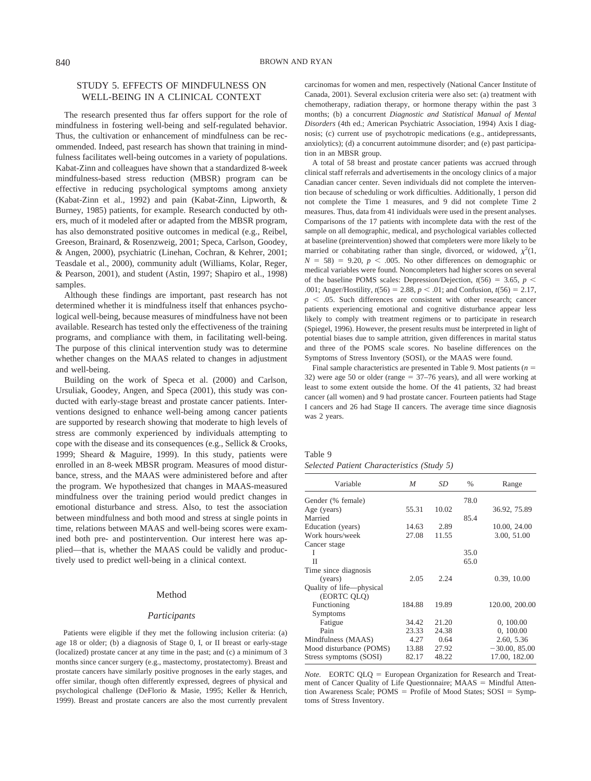# STUDY 5. EFFECTS OF MINDFULNESS ON WELL-BEING IN A CLINICAL CONTEXT

The research presented thus far offers support for the role of mindfulness in fostering well-being and self-regulated behavior. Thus, the cultivation or enhancement of mindfulness can be recommended. Indeed, past research has shown that training in mindfulness facilitates well-being outcomes in a variety of populations. Kabat-Zinn and colleagues have shown that a standardized 8-week mindfulness-based stress reduction (MBSR) program can be effective in reducing psychological symptoms among anxiety (Kabat-Zinn et al., 1992) and pain (Kabat-Zinn, Lipworth, & Burney, 1985) patients, for example. Research conducted by others, much of it modeled after or adapted from the MBSR program, has also demonstrated positive outcomes in medical (e.g., Reibel, Greeson, Brainard, & Rosenzweig, 2001; Speca, Carlson, Goodey, & Angen, 2000), psychiatric (Linehan, Cochran, & Kehrer, 2001; Teasdale et al., 2000), community adult (Williams, Kolar, Reger, & Pearson, 2001), and student (Astin, 1997; Shapiro et al., 1998) samples.

Although these findings are important, past research has not determined whether it is mindfulness itself that enhances psychological well-being, because measures of mindfulness have not been available. Research has tested only the effectiveness of the training programs, and compliance with them, in facilitating well-being. The purpose of this clinical intervention study was to determine whether changes on the MAAS related to changes in adjustment and well-being.

Building on the work of Speca et al. (2000) and Carlson, Ursuliak, Goodey, Angen, and Speca (2001), this study was conducted with early-stage breast and prostate cancer patients. Interventions designed to enhance well-being among cancer patients are supported by research showing that moderate to high levels of stress are commonly experienced by individuals attempting to cope with the disease and its consequences (e.g., Sellick & Crooks, 1999; Sheard & Maguire, 1999). In this study, patients were enrolled in an 8-week MBSR program. Measures of mood disturbance, stress, and the MAAS were administered before and after the program. We hypothesized that changes in MAAS-measured mindfulness over the training period would predict changes in emotional disturbance and stress. Also, to test the association between mindfulness and both mood and stress at single points in time, relations between MAAS and well-being scores were examined both pre- and postintervention. Our interest here was applied—that is, whether the MAAS could be validly and productively used to predict well-being in a clinical context.

### Method

## *Participants*

Patients were eligible if they met the following inclusion criteria: (a) age 18 or older; (b) a diagnosis of Stage 0, I, or II breast or early-stage (localized) prostate cancer at any time in the past; and (c) a minimum of 3 months since cancer surgery (e.g., mastectomy, prostatectomy). Breast and prostate cancers have similarly positive prognoses in the early stages, and offer similar, though often differently expressed, degrees of physical and psychological challenge (DeFlorio & Masie, 1995; Keller & Henrich, 1999). Breast and prostate cancers are also the most currently prevalent carcinomas for women and men, respectively (National Cancer Institute of Canada, 2001). Several exclusion criteria were also set: (a) treatment with chemotherapy, radiation therapy, or hormone therapy within the past 3 months; (b) a concurrent *Diagnostic and Statistical Manual of Mental Disorders* (4th ed.; American Psychiatric Association, 1994) Axis I diagnosis; (c) current use of psychotropic medications (e.g., antidepressants, anxiolytics); (d) a concurrent autoimmune disorder; and (e) past participation in an MBSR group.

A total of 58 breast and prostate cancer patients was accrued through clinical staff referrals and advertisements in the oncology clinics of a major Canadian cancer center. Seven individuals did not complete the intervention because of scheduling or work difficulties. Additionally, 1 person did not complete the Time 1 measures, and 9 did not complete Time 2 measures. Thus, data from 41 individuals were used in the present analyses. Comparisons of the 17 patients with incomplete data with the rest of the sample on all demographic, medical, and psychological variables collected at baseline (preintervention) showed that completers were more likely to be married or cohabitating rather than single, divorced, or widowed,  $\chi^2(1,$  $N = 58$ ) = 9.20,  $p < .005$ . No other differences on demographic or medical variables were found. Noncompleters had higher scores on several of the baseline POMS scales: Depression/Dejection,  $t(56) = 3.65$ ,  $p <$ .001; Anger/Hostility,  $t(56) = 2.88$ ,  $p < .01$ ; and Confusion,  $t(56) = 2.17$ ,  $p < .05$ . Such differences are consistent with other research; cancer patients experiencing emotional and cognitive disturbance appear less likely to comply with treatment regimens or to participate in research (Spiegel, 1996). However, the present results must be interpreted in light of potential biases due to sample attrition, given differences in marital status and three of the POMS scale scores. No baseline differences on the Symptoms of Stress Inventory (SOSI), or the MAAS were found.

Final sample characteristics are presented in Table 9. Most patients  $(n =$ 32) were age 50 or older (range  $= 37-76$  years), and all were working at least to some extent outside the home. Of the 41 patients, 32 had breast cancer (all women) and 9 had prostate cancer. Fourteen patients had Stage I cancers and 26 had Stage II cancers. The average time since diagnosis was 2 years.

Table 9 *Selected Patient Characteristics (Study 5)*

| Variable                 | M      | SD    | $\%$ | Range           |
|--------------------------|--------|-------|------|-----------------|
| Gender (% female)        |        |       | 78.0 |                 |
| Age (years)              | 55.31  | 10.02 |      | 36.92, 75.89    |
| Married                  |        |       | 85.4 |                 |
| Education (years)        | 14.63  | 2.89  |      | 10.00, 24.00    |
| Work hours/week          | 27.08  | 11.55 |      | 3.00, 51.00     |
| Cancer stage             |        |       |      |                 |
| Ι                        |        |       | 35.0 |                 |
| П                        |        |       | 65.0 |                 |
| Time since diagnosis     |        |       |      |                 |
| (years)                  | 2.05   | 2.24  |      | 0.39, 10.00     |
| Quality of life-physical |        |       |      |                 |
| (EORTC OLO)              |        |       |      |                 |
| Functioning              | 184.88 | 19.89 |      | 120.00, 200.00  |
| Symptoms                 |        |       |      |                 |
| Fatigue                  | 34.42  | 21.20 |      | 0, 100.00       |
| Pain                     | 23.33  | 24.38 |      | 0, 100.00       |
| Mindfulness (MAAS)       | 4.27   | 0.64  |      | 2.60, 5.36      |
| Mood disturbance (POMS)  | 13.88  | 27.92 |      | $-30.00, 85.00$ |
| Stress symptoms (SOSI)   | 82.17  | 48.22 |      | 17.00, 182.00   |

Note. EORTC QLQ = European Organization for Research and Treatment of Cancer Quality of Life Questionnaire; MAAS = Mindful Attention Awareness Scale; POMS = Profile of Mood States; SOSI = Symptoms of Stress Inventory.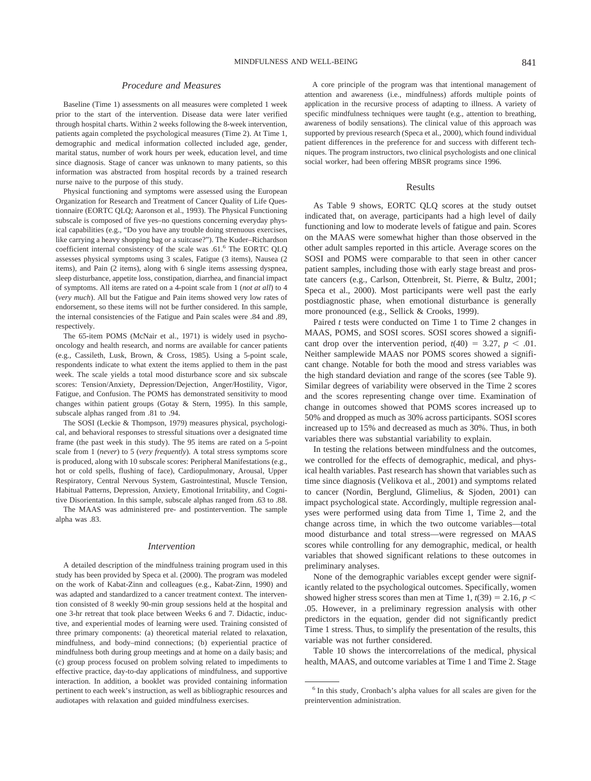# *Procedure and Measures*

Baseline (Time 1) assessments on all measures were completed 1 week prior to the start of the intervention. Disease data were later verified through hospital charts. Within 2 weeks following the 8-week intervention, patients again completed the psychological measures (Time 2). At Time 1, demographic and medical information collected included age, gender, marital status, number of work hours per week, education level, and time since diagnosis. Stage of cancer was unknown to many patients, so this information was abstracted from hospital records by a trained research nurse naive to the purpose of this study.

Physical functioning and symptoms were assessed using the European Organization for Research and Treatment of Cancer Quality of Life Questionnaire (EORTC QLQ; Aaronson et al., 1993). The Physical Functioning subscale is composed of five yes–no questions concerning everyday physical capabilities (e.g., "Do you have any trouble doing strenuous exercises, like carrying a heavy shopping bag or a suitcase?"). The Kuder–Richardson coefficient internal consistency of the scale was .61.6 The EORTC QLQ assesses physical symptoms using 3 scales, Fatigue (3 items), Nausea (2 items), and Pain (2 items), along with 6 single items assessing dyspnea, sleep disturbance, appetite loss, constipation, diarrhea, and financial impact of symptoms. All items are rated on a 4-point scale from 1 (*not at all*) to 4 (*very much*). All but the Fatigue and Pain items showed very low rates of endorsement, so these items will not be further considered. In this sample, the internal consistencies of the Fatigue and Pain scales were .84 and .89, respectively.

The 65-item POMS (McNair et al., 1971) is widely used in psychooncology and health research, and norms are available for cancer patients (e.g., Cassileth, Lusk, Brown, & Cross, 1985). Using a 5-point scale, respondents indicate to what extent the items applied to them in the past week. The scale yields a total mood disturbance score and six subscale scores: Tension/Anxiety, Depression/Dejection, Anger/Hostility, Vigor, Fatigue, and Confusion. The POMS has demonstrated sensitivity to mood changes within patient groups (Gotay & Stern, 1995). In this sample, subscale alphas ranged from .81 to .94.

The SOSI (Leckie & Thompson, 1979) measures physical, psychological, and behavioral responses to stressful situations over a designated time frame (the past week in this study). The 95 items are rated on a 5-point scale from 1 (*never*) to 5 (*very frequently*). A total stress symptoms score is produced, along with 10 subscale scores: Peripheral Manifestations (e.g., hot or cold spells, flushing of face), Cardiopulmonary, Arousal, Upper Respiratory, Central Nervous System, Gastrointestinal, Muscle Tension, Habitual Patterns, Depression, Anxiety, Emotional Irritability, and Cognitive Disorientation. In this sample, subscale alphas ranged from .63 to .88.

The MAAS was administered pre- and postintervention. The sample alpha was .83.

#### *Intervention*

A detailed description of the mindfulness training program used in this study has been provided by Speca et al. (2000). The program was modeled on the work of Kabat-Zinn and colleagues (e.g., Kabat-Zinn, 1990) and was adapted and standardized to a cancer treatment context. The intervention consisted of 8 weekly 90-min group sessions held at the hospital and one 3-hr retreat that took place between Weeks 6 and 7. Didactic, inductive, and experiential modes of learning were used. Training consisted of three primary components: (a) theoretical material related to relaxation, mindfulness, and body–mind connections; (b) experiential practice of mindfulness both during group meetings and at home on a daily basis; and (c) group process focused on problem solving related to impediments to effective practice, day-to-day applications of mindfulness, and supportive interaction. In addition, a booklet was provided containing information pertinent to each week's instruction, as well as bibliographic resources and audiotapes with relaxation and guided mindfulness exercises.

A core principle of the program was that intentional management of attention and awareness (i.e., mindfulness) affords multiple points of application in the recursive process of adapting to illness. A variety of specific mindfulness techniques were taught (e.g., attention to breathing, awareness of bodily sensations). The clinical value of this approach was supported by previous research (Speca et al., 2000), which found individual patient differences in the preference for and success with different techniques. The program instructors, two clinical psychologists and one clinical social worker, had been offering MBSR programs since 1996.

### Results

As Table 9 shows, EORTC QLQ scores at the study outset indicated that, on average, participants had a high level of daily functioning and low to moderate levels of fatigue and pain. Scores on the MAAS were somewhat higher than those observed in the other adult samples reported in this article. Average scores on the SOSI and POMS were comparable to that seen in other cancer patient samples, including those with early stage breast and prostate cancers (e.g., Carlson, Ottenbreit, St. Pierre, & Bultz, 2001; Speca et al., 2000). Most participants were well past the early postdiagnostic phase, when emotional disturbance is generally more pronounced (e.g., Sellick & Crooks, 1999).

Paired *t* tests were conducted on Time 1 to Time 2 changes in MAAS, POMS, and SOSI scores. SOSI scores showed a significant drop over the intervention period,  $t(40) = 3.27$ ,  $p < .01$ . Neither samplewide MAAS nor POMS scores showed a significant change. Notable for both the mood and stress variables was the high standard deviation and range of the scores (see Table 9). Similar degrees of variability were observed in the Time 2 scores and the scores representing change over time. Examination of change in outcomes showed that POMS scores increased up to 50% and dropped as much as 30% across participants. SOSI scores increased up to 15% and decreased as much as 30%. Thus, in both variables there was substantial variability to explain.

In testing the relations between mindfulness and the outcomes, we controlled for the effects of demographic, medical, and physical health variables. Past research has shown that variables such as time since diagnosis (Velikova et al., 2001) and symptoms related to cancer (Nordin, Berglund, Glimelius, & Sjoden, 2001) can impact psychological state. Accordingly, multiple regression analyses were performed using data from Time 1, Time 2, and the change across time, in which the two outcome variables—total mood disturbance and total stress—were regressed on MAAS scores while controlling for any demographic, medical, or health variables that showed significant relations to these outcomes in preliminary analyses.

None of the demographic variables except gender were significantly related to the psychological outcomes. Specifically, women showed higher stress scores than men at Time 1,  $t(39) = 2.16$ ,  $p <$ .05. However, in a preliminary regression analysis with other predictors in the equation, gender did not significantly predict Time 1 stress. Thus, to simplify the presentation of the results, this variable was not further considered.

Table 10 shows the intercorrelations of the medical, physical health, MAAS, and outcome variables at Time 1 and Time 2. Stage

<sup>6</sup> In this study, Cronbach's alpha values for all scales are given for the preintervention administration.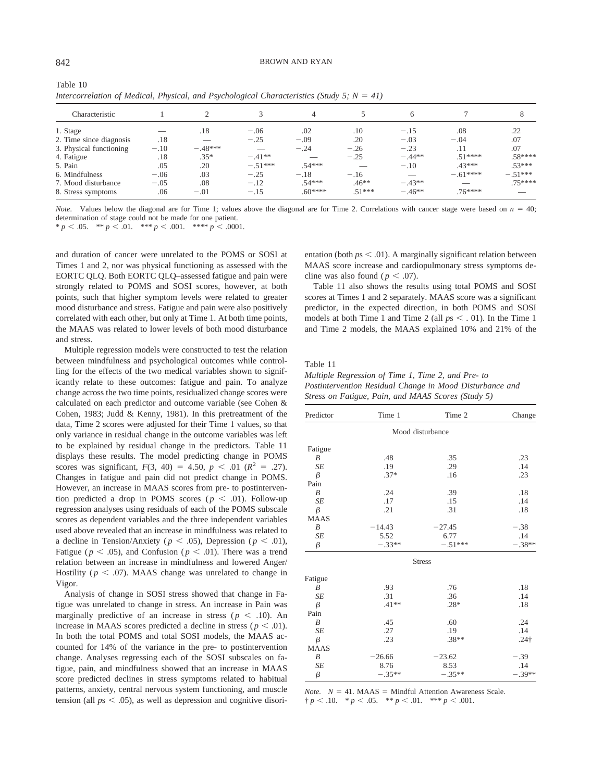| microorreamon of meaneal, I hysieal, and I sychological Characteristics (staty 3, 1) |        |           |           |          |         |              |          |           |
|--------------------------------------------------------------------------------------|--------|-----------|-----------|----------|---------|--------------|----------|-----------|
| Characteristic                                                                       |        |           |           | 4        |         | <sub>b</sub> |          |           |
| 1. Stage                                                                             |        | .18       | $-.06$    | .02      | .10     | $-.15$       | .08      | .22       |
| 2. Time since diagnosis                                                              | .18    |           | $-.25$    | $-.09$   | .20     | $-.03$       | $-.04$   | .07       |
| 3. Physical functioning                                                              | $-.10$ | $-.48***$ |           | $-.24$   | $-.26$  | $-.23$       |          | .07       |
| 4. Fatigue                                                                           | .18    | $.35*$    | $-.41**$  |          | $-.25$  | $-.44**$     | $51***$  | $.58***$  |
| 5. Pain                                                                              | .05    | .20       | $-.51***$ | $.54***$ |         | $-.10$       | $.43***$ | 53***     |
| 6. Mindfulness                                                                       | $-.06$ | .03       | $-.25$    | $-.18$   | $-.16$  |              | $-61***$ | $-.51***$ |
| 7. Mood disturbance                                                                  | $-.05$ | .08       | $-.12$    | $.54***$ | $.46**$ | $-.43**$     |          | 75****    |
| 8. Stress symptoms                                                                   | .06    | $-.01$    | $-.15$    | $60***$  | $51***$ | $-46**$      | $76****$ |           |

| Table 10                                                                                      |  |
|-----------------------------------------------------------------------------------------------|--|
| Intercorrelation of Medical, Physical, and Psychological Characteristics (Study 5; $N = 41$ ) |  |

*Note.* Values below the diagonal are for Time 1; values above the diagonal are for Time 2. Correlations with cancer stage were based on  $n = 40$ ; determination of stage could not be made for one patient.

 $* p < .05.$  \*\*  $p < .01.$  \*\*\*  $p < .001.$  \*\*\*\*  $p < .0001.$ 

and duration of cancer were unrelated to the POMS or SOSI at Times 1 and 2, nor was physical functioning as assessed with the EORTC QLQ. Both EORTC QLQ–assessed fatigue and pain were strongly related to POMS and SOSI scores, however, at both points, such that higher symptom levels were related to greater mood disturbance and stress. Fatigue and pain were also positively correlated with each other, but only at Time 1. At both time points, the MAAS was related to lower levels of both mood disturbance and stress.

Multiple regression models were constructed to test the relation between mindfulness and psychological outcomes while controlling for the effects of the two medical variables shown to significantly relate to these outcomes: fatigue and pain. To analyze change across the two time points, residualized change scores were calculated on each predictor and outcome variable (see Cohen & Cohen, 1983; Judd & Kenny, 1981). In this pretreatment of the data, Time 2 scores were adjusted for their Time 1 values, so that only variance in residual change in the outcome variables was left to be explained by residual change in the predictors. Table 11 displays these results. The model predicting change in POMS scores was significant,  $F(3, 40) = 4.50$ ,  $p < .01$  ( $R<sup>2</sup> = .27$ ). Changes in fatigue and pain did not predict change in POMS. However, an increase in MAAS scores from pre- to postintervention predicted a drop in POMS scores ( $p < .01$ ). Follow-up regression analyses using residuals of each of the POMS subscale scores as dependent variables and the three independent variables used above revealed that an increase in mindfulness was related to a decline in Tension/Anxiety ( $p < .05$ ), Depression ( $p < .01$ ), Fatigue ( $p < .05$ ), and Confusion ( $p < .01$ ). There was a trend relation between an increase in mindfulness and lowered Anger/ Hostility ( $p < .07$ ). MAAS change was unrelated to change in Vigor.

Analysis of change in SOSI stress showed that change in Fatigue was unrelated to change in stress. An increase in Pain was marginally predictive of an increase in stress ( $p < .10$ ). An increase in MAAS scores predicted a decline in stress ( $p < .01$ ). In both the total POMS and total SOSI models, the MAAS accounted for 14% of the variance in the pre- to postintervention change. Analyses regressing each of the SOSI subscales on fatigue, pain, and mindfulness showed that an increase in MAAS score predicted declines in stress symptoms related to habitual patterns, anxiety, central nervous system functioning, and muscle tension (all  $ps < .05$ ), as well as depression and cognitive disorientation (both  $ps < .01$ ). A marginally significant relation between MAAS score increase and cardiopulmonary stress symptoms decline was also found ( $p < .07$ ).

Table 11 also shows the results using total POMS and SOSI scores at Times 1 and 2 separately. MAAS score was a significant predictor, in the expected direction, in both POMS and SOSI models at both Time 1 and Time 2 (all *p*s . 01). In the Time 1 and Time 2 models, the MAAS explained 10% and 21% of the

Table 11

*Multiple Regression of Time 1, Time 2, and Pre- to Postintervention Residual Change in Mood Disturbance and Stress on Fatigue, Pain, and MAAS Scores (Study 5)*

| Predictor        | Time 1               | Time 2           | Change           |  |
|------------------|----------------------|------------------|------------------|--|
|                  |                      | Mood disturbance |                  |  |
| Fatigue          |                      |                  |                  |  |
| B                | .48                  | .35              | .23              |  |
| SE               | .19                  | .29              | .14              |  |
| β                | $.37*$               | .16              | .23              |  |
| Pain             |                      |                  |                  |  |
| B                | .24                  | .39              | .18              |  |
| SE               | .17                  | .15              | .14              |  |
| β                | .21                  | .31              | .18              |  |
| <b>MAAS</b>      |                      |                  |                  |  |
| $\boldsymbol{B}$ | $-14.43$             | $-27.45$         | $-.38$           |  |
| <b>SE</b>        | 5.52                 | 6.77             | .14              |  |
| β                | $-.33**$             | $-.51***$        | $-.38**$         |  |
|                  |                      | <b>Stress</b>    |                  |  |
| Fatigue          |                      |                  |                  |  |
| B                | .93                  | .76              | .18              |  |
| SE               | .31                  | .36              | .14              |  |
| β                | $.41**$              | $.28*$           | .18              |  |
| Pain             |                      |                  |                  |  |
| B                | .45                  | .60              | .24              |  |
| SE               | .27                  | .19              | .14              |  |
| β                | .23                  | $.38**$          | .24 <sub>†</sub> |  |
| <b>MAAS</b>      |                      |                  |                  |  |
| B                | $-26.66$<br>$-23.62$ |                  | $-.39$           |  |
| SE               | 8.76                 | 8.53             | .14              |  |
| β                | $-.35**$             | $-.35**$         | $-.39**$         |  |
|                  |                      |                  |                  |  |

*Note.*  $N = 41$ . **MAAS** = **Mindful Attention Awareness Scale.**  $\uparrow p < .10.$  \*  $p < .05.$  \*\*  $p < .01.$  \*\*\*  $p < .001.$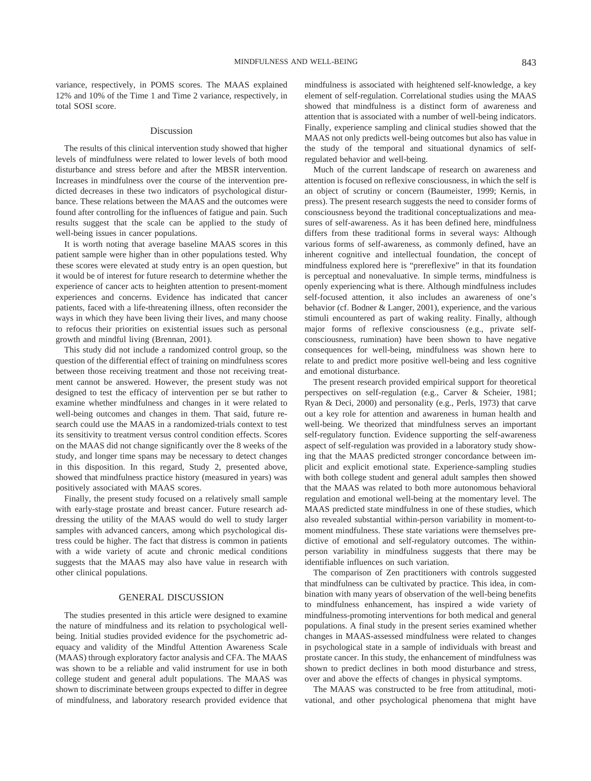variance, respectively, in POMS scores. The MAAS explained 12% and 10% of the Time 1 and Time 2 variance, respectively, in total SOSI score.

#### Discussion

The results of this clinical intervention study showed that higher levels of mindfulness were related to lower levels of both mood disturbance and stress before and after the MBSR intervention. Increases in mindfulness over the course of the intervention predicted decreases in these two indicators of psychological disturbance. These relations between the MAAS and the outcomes were found after controlling for the influences of fatigue and pain. Such results suggest that the scale can be applied to the study of well-being issues in cancer populations.

It is worth noting that average baseline MAAS scores in this patient sample were higher than in other populations tested. Why these scores were elevated at study entry is an open question, but it would be of interest for future research to determine whether the experience of cancer acts to heighten attention to present-moment experiences and concerns. Evidence has indicated that cancer patients, faced with a life-threatening illness, often reconsider the ways in which they have been living their lives, and many choose to refocus their priorities on existential issues such as personal growth and mindful living (Brennan, 2001).

This study did not include a randomized control group, so the question of the differential effect of training on mindfulness scores between those receiving treatment and those not receiving treatment cannot be answered. However, the present study was not designed to test the efficacy of intervention per se but rather to examine whether mindfulness and changes in it were related to well-being outcomes and changes in them. That said, future research could use the MAAS in a randomized-trials context to test its sensitivity to treatment versus control condition effects. Scores on the MAAS did not change significantly over the 8 weeks of the study, and longer time spans may be necessary to detect changes in this disposition. In this regard, Study 2, presented above, showed that mindfulness practice history (measured in years) was positively associated with MAAS scores.

Finally, the present study focused on a relatively small sample with early-stage prostate and breast cancer. Future research addressing the utility of the MAAS would do well to study larger samples with advanced cancers, among which psychological distress could be higher. The fact that distress is common in patients with a wide variety of acute and chronic medical conditions suggests that the MAAS may also have value in research with other clinical populations.

# GENERAL DISCUSSION

The studies presented in this article were designed to examine the nature of mindfulness and its relation to psychological wellbeing. Initial studies provided evidence for the psychometric adequacy and validity of the Mindful Attention Awareness Scale (MAAS) through exploratory factor analysis and CFA. The MAAS was shown to be a reliable and valid instrument for use in both college student and general adult populations. The MAAS was shown to discriminate between groups expected to differ in degree of mindfulness, and laboratory research provided evidence that mindfulness is associated with heightened self-knowledge, a key element of self-regulation. Correlational studies using the MAAS showed that mindfulness is a distinct form of awareness and attention that is associated with a number of well-being indicators. Finally, experience sampling and clinical studies showed that the MAAS not only predicts well-being outcomes but also has value in the study of the temporal and situational dynamics of selfregulated behavior and well-being.

Much of the current landscape of research on awareness and attention is focused on reflexive consciousness, in which the self is an object of scrutiny or concern (Baumeister, 1999; Kernis, in press). The present research suggests the need to consider forms of consciousness beyond the traditional conceptualizations and measures of self-awareness. As it has been defined here, mindfulness differs from these traditional forms in several ways: Although various forms of self-awareness, as commonly defined, have an inherent cognitive and intellectual foundation, the concept of mindfulness explored here is "prereflexive" in that its foundation is perceptual and nonevaluative. In simple terms, mindfulness is openly experiencing what is there. Although mindfulness includes self-focused attention, it also includes an awareness of one's behavior (cf. Bodner & Langer, 2001), experience, and the various stimuli encountered as part of waking reality. Finally, although major forms of reflexive consciousness (e.g., private selfconsciousness, rumination) have been shown to have negative consequences for well-being, mindfulness was shown here to relate to and predict more positive well-being and less cognitive and emotional disturbance.

The present research provided empirical support for theoretical perspectives on self-regulation (e.g., Carver & Scheier, 1981; Ryan & Deci, 2000) and personality (e.g., Perls, 1973) that carve out a key role for attention and awareness in human health and well-being. We theorized that mindfulness serves an important self-regulatory function. Evidence supporting the self-awareness aspect of self-regulation was provided in a laboratory study showing that the MAAS predicted stronger concordance between implicit and explicit emotional state. Experience-sampling studies with both college student and general adult samples then showed that the MAAS was related to both more autonomous behavioral regulation and emotional well-being at the momentary level. The MAAS predicted state mindfulness in one of these studies, which also revealed substantial within-person variability in moment-tomoment mindfulness. These state variations were themselves predictive of emotional and self-regulatory outcomes. The withinperson variability in mindfulness suggests that there may be identifiable influences on such variation.

The comparison of Zen practitioners with controls suggested that mindfulness can be cultivated by practice. This idea, in combination with many years of observation of the well-being benefits to mindfulness enhancement, has inspired a wide variety of mindfulness-promoting interventions for both medical and general populations. A final study in the present series examined whether changes in MAAS-assessed mindfulness were related to changes in psychological state in a sample of individuals with breast and prostate cancer. In this study, the enhancement of mindfulness was shown to predict declines in both mood disturbance and stress, over and above the effects of changes in physical symptoms.

The MAAS was constructed to be free from attitudinal, motivational, and other psychological phenomena that might have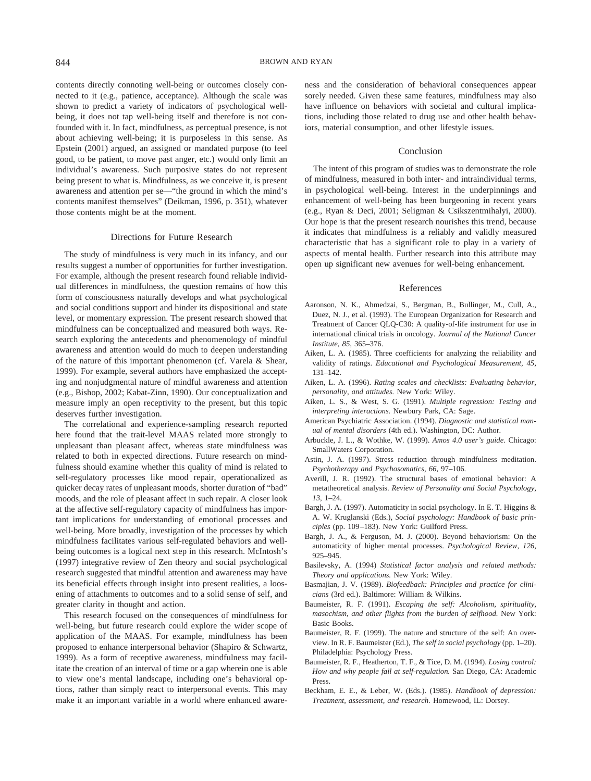contents directly connoting well-being or outcomes closely connected to it (e.g., patience, acceptance). Although the scale was shown to predict a variety of indicators of psychological wellbeing, it does not tap well-being itself and therefore is not confounded with it. In fact, mindfulness, as perceptual presence, is not about achieving well-being; it is purposeless in this sense. As Epstein (2001) argued, an assigned or mandated purpose (to feel good, to be patient, to move past anger, etc.) would only limit an individual's awareness. Such purposive states do not represent being present to what is. Mindfulness, as we conceive it, is present awareness and attention per se—"the ground in which the mind's contents manifest themselves" (Deikman, 1996, p. 351), whatever those contents might be at the moment.

#### Directions for Future Research

The study of mindfulness is very much in its infancy, and our results suggest a number of opportunities for further investigation. For example, although the present research found reliable individual differences in mindfulness, the question remains of how this form of consciousness naturally develops and what psychological and social conditions support and hinder its dispositional and state level, or momentary expression. The present research showed that mindfulness can be conceptualized and measured both ways. Research exploring the antecedents and phenomenology of mindful awareness and attention would do much to deepen understanding of the nature of this important phenomenon (cf. Varela & Shear, 1999). For example, several authors have emphasized the accepting and nonjudgmental nature of mindful awareness and attention (e.g., Bishop, 2002; Kabat-Zinn, 1990). Our conceptualization and measure imply an open receptivity to the present, but this topic deserves further investigation.

The correlational and experience-sampling research reported here found that the trait-level MAAS related more strongly to unpleasant than pleasant affect, whereas state mindfulness was related to both in expected directions. Future research on mindfulness should examine whether this quality of mind is related to self-regulatory processes like mood repair, operationalized as quicker decay rates of unpleasant moods, shorter duration of "bad" moods, and the role of pleasant affect in such repair. A closer look at the affective self-regulatory capacity of mindfulness has important implications for understanding of emotional processes and well-being. More broadly, investigation of the processes by which mindfulness facilitates various self-regulated behaviors and wellbeing outcomes is a logical next step in this research. McIntosh's (1997) integrative review of Zen theory and social psychological research suggested that mindful attention and awareness may have its beneficial effects through insight into present realities, a loosening of attachments to outcomes and to a solid sense of self, and greater clarity in thought and action.

This research focused on the consequences of mindfulness for well-being, but future research could explore the wider scope of application of the MAAS. For example, mindfulness has been proposed to enhance interpersonal behavior (Shapiro & Schwartz, 1999). As a form of receptive awareness, mindfulness may facilitate the creation of an interval of time or a gap wherein one is able to view one's mental landscape, including one's behavioral options, rather than simply react to interpersonal events. This may make it an important variable in a world where enhanced awareness and the consideration of behavioral consequences appear sorely needed. Given these same features, mindfulness may also have influence on behaviors with societal and cultural implications, including those related to drug use and other health behaviors, material consumption, and other lifestyle issues.

# Conclusion

The intent of this program of studies was to demonstrate the role of mindfulness, measured in both inter- and intraindividual terms, in psychological well-being. Interest in the underpinnings and enhancement of well-being has been burgeoning in recent years (e.g., Ryan & Deci, 2001; Seligman & Csikszentmihalyi, 2000). Our hope is that the present research nourishes this trend, because it indicates that mindfulness is a reliably and validly measured characteristic that has a significant role to play in a variety of aspects of mental health. Further research into this attribute may open up significant new avenues for well-being enhancement.

#### References

- Aaronson, N. K., Ahmedzai, S., Bergman, B., Bullinger, M., Cull, A., Duez, N. J., et al. (1993). The European Organization for Research and Treatment of Cancer QLQ-C30: A quality-of-life instrument for use in international clinical trials in oncology. *Journal of the National Cancer Institute, 85,* 365–376.
- Aiken, L. A. (1985). Three coefficients for analyzing the reliability and validity of ratings. *Educational and Psychological Measurement, 45,* 131–142.
- Aiken, L. A. (1996). *Rating scales and checklists: Evaluating behavior, personality, and attitudes.* New York: Wiley.
- Aiken, L. S., & West, S. G. (1991). *Multiple regression: Testing and interpreting interactions.* Newbury Park, CA: Sage.
- American Psychiatric Association. (1994). *Diagnostic and statistical manual of mental disorders* (4th ed.). Washington, DC: Author.
- Arbuckle, J. L., & Wothke, W. (1999). *Amos 4.0 user's guide.* Chicago: SmallWaters Corporation.
- Astin, J. A. (1997). Stress reduction through mindfulness meditation. *Psychotherapy and Psychosomatics, 66,* 97–106.
- Averill, J. R. (1992). The structural bases of emotional behavior: A metatheoretical analysis. *Review of Personality and Social Psychology, 13,* 1–24.
- Bargh, J. A. (1997). Automaticity in social psychology. In E. T. Higgins & A. W. Kruglanski (Eds.), *Social psychology: Handbook of basic principles* (pp. 109–183). New York: Guilford Press.
- Bargh, J. A., & Ferguson, M. J. (2000). Beyond behaviorism: On the automaticity of higher mental processes. *Psychological Review, 126,* 925–945.
- Basilevsky, A. (1994) *Statistical factor analysis and related methods: Theory and applications.* New York: Wiley.
- Basmajian, J. V. (1989). *Biofeedback: Principles and practice for clinicians* (3rd ed.). Baltimore: William & Wilkins.
- Baumeister, R. F. (1991). *Escaping the self: Alcoholism, spirituality, masochism, and other flights from the burden of selfhood.* New York: Basic Books.
- Baumeister, R. F. (1999). The nature and structure of the self: An overview. In R. F. Baumeister (Ed.), *The self in social psychology* (pp. 1–20). Philadelphia: Psychology Press.
- Baumeister, R. F., Heatherton, T. F., & Tice, D. M. (1994). *Losing control: How and why people fail at self-regulation.* San Diego, CA: Academic Press.
- Beckham, E. E., & Leber, W. (Eds.). (1985). *Handbook of depression: Treatment, assessment, and research.* Homewood, IL: Dorsey.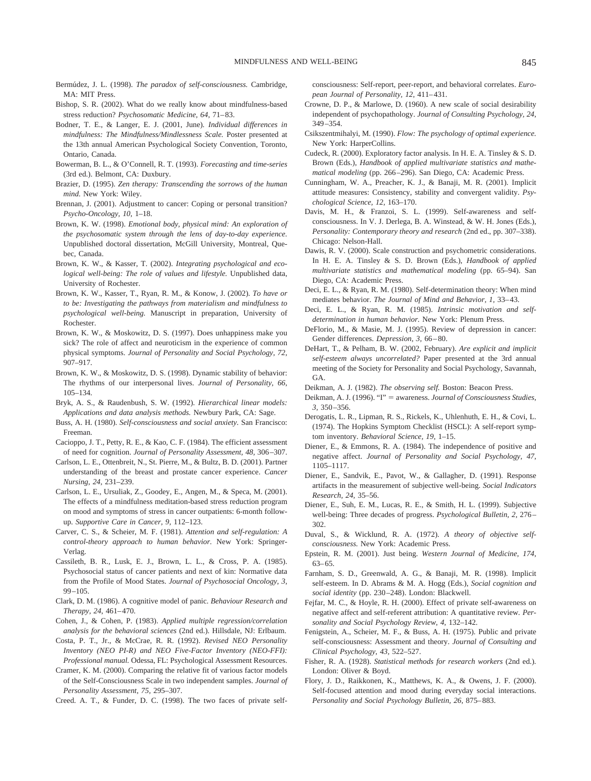- Bermúdez, J. L. (1998). *The paradox of self-consciousness*. Cambridge, MA: MIT Press.
- Bishop, S. R. (2002). What do we really know about mindfulness-based stress reduction? *Psychosomatic Medicine, 64,* 71–83.
- Bodner, T. E., & Langer, E. J. (2001, June)*. Individual differences in mindfulness: The Mindfulness/Mindlessness Scale.* Poster presented at the 13th annual American Psychological Society Convention, Toronto, Ontario, Canada.
- Bowerman, B. L., & O'Connell, R. T. (1993). *Forecasting and time-series* (3rd ed.). Belmont, CA: Duxbury.
- Brazier, D. (1995). *Zen therapy: Transcending the sorrows of the human mind.* New York: Wiley.
- Brennan, J. (2001). Adjustment to cancer: Coping or personal transition? *Psycho-Oncology, 10,* 1–18.
- Brown, K. W. (1998). *Emotional body, physical mind: An exploration of the psychosomatic system through the lens of day-to-day experience.* Unpublished doctoral dissertation, McGill University, Montreal, Quebec, Canada.
- Brown, K. W., & Kasser, T. (2002). *Integrating psychological and ecological well-being: The role of values and lifestyle.* Unpublished data, University of Rochester.
- Brown, K. W., Kasser, T., Ryan, R. M., & Konow, J. (2002). *To have or to be: Investigating the pathways from materialism and mindfulness to psychological well-being.* Manuscript in preparation, University of Rochester.
- Brown, K. W., & Moskowitz, D. S. (1997). Does unhappiness make you sick? The role of affect and neuroticism in the experience of common physical symptoms. *Journal of Personality and Social Psychology, 72,* 907–917.
- Brown, K. W., & Moskowitz, D. S. (1998). Dynamic stability of behavior: The rhythms of our interpersonal lives. *Journal of Personality, 66,* 105–134.
- Bryk, A. S., & Raudenbush, S. W. (1992). *Hierarchical linear models: Applications and data analysis methods.* Newbury Park, CA: Sage.
- Buss, A. H. (1980). *Self-consciousness and social anxiety.* San Francisco: Freeman.
- Cacioppo, J. T., Petty, R. E., & Kao, C. F. (1984). The efficient assessment of need for cognition. *Journal of Personality Assessment, 48,* 306–307.
- Carlson, L. E., Ottenbreit, N., St. Pierre, M., & Bultz, B. D. (2001). Partner understanding of the breast and prostate cancer experience. *Cancer Nursing, 24,* 231–239.
- Carlson, L. E., Ursuliak, Z., Goodey, E., Angen, M., & Speca, M. (2001). The effects of a mindfulness meditation-based stress reduction program on mood and symptoms of stress in cancer outpatients: 6-month followup. *Supportive Care in Cancer, 9,* 112–123.
- Carver, C. S., & Scheier, M. F. (1981). *Attention and self-regulation: A control-theory approach to human behavior.* New York: Springer-Verlag.
- Cassileth, B. R., Lusk, E. J., Brown, L. L., & Cross, P. A. (1985). Psychosocial status of cancer patients and next of kin: Normative data from the Profile of Mood States. *Journal of Psychosocial Oncology, 3,* 99–105.
- Clark, D. M. (1986). A cognitive model of panic. *Behaviour Research and Therapy, 24,* 461–470.
- Cohen, J., & Cohen, P. (1983). *Applied multiple regression/correlation analysis for the behavioral sciences* (2nd ed.). Hillsdale, NJ: Erlbaum.
- Costa, P. T., Jr., & McCrae, R. R. (1992). *Revised NEO Personality Inventory (NEO PI-R) and NEO Five-Factor Inventory (NEO-FFI): Professional manual.* Odessa, FL: Psychological Assessment Resources.
- Cramer, K. M. (2000). Comparing the relative fit of various factor models of the Self-Consciousness Scale in two independent samples. *Journal of Personality Assessment, 75,* 295–307.

Creed. A. T., & Funder, D. C. (1998). The two faces of private self-

consciousness: Self-report, peer-report, and behavioral correlates. *European Journal of Personality, 12,* 411–431.

- Crowne, D. P., & Marlowe, D. (1960). A new scale of social desirability independent of psychopathology. *Journal of Consulting Psychology, 24,* 349–354.
- Csikszentmihalyi, M. (1990). *Flow: The psychology of optimal experience.* New York: HarperCollins.
- Cudeck, R. (2000). Exploratory factor analysis. In H. E. A. Tinsley & S. D. Brown (Eds.), *Handbook of applied multivariate statistics and mathematical modeling* (pp. 266–296). San Diego, CA: Academic Press.
- Cunningham, W. A., Preacher, K. J., & Banaji, M. R. (2001). Implicit attitude measures: Consistency, stability and convergent validity. *Psychological Science, 12,* 163–170.
- Davis, M. H., & Franzoi, S. L. (1999). Self-awareness and selfconsciousness. In V. J. Derlega, B. A. Winstead, & W. H. Jones (Eds.), *Personality: Contemporary theory and research* (2nd ed., pp. 307–338). Chicago: Nelson-Hall.
- Dawis, R. V. (2000). Scale construction and psychometric considerations. In H. E. A. Tinsley & S. D. Brown (Eds.), *Handbook of applied multivariate statistics and mathematical modeling* (pp. 65–94). San Diego, CA: Academic Press.
- Deci, E. L., & Ryan, R. M. (1980). Self-determination theory: When mind mediates behavior. *The Journal of Mind and Behavior, 1,* 33–43.
- Deci, E. L., & Ryan, R. M. (1985). *Intrinsic motivation and selfdetermination in human behavior.* New York: Plenum Press.
- DeFlorio, M., & Masie, M. J. (1995). Review of depression in cancer: Gender differences. *Depression, 3,* 66–80.
- DeHart, T., & Pelham, B. W. (2002, February). *Are explicit and implicit self-esteem always uncorrelated?* Paper presented at the 3rd annual meeting of the Society for Personality and Social Psychology, Savannah, GA.
- Deikman, A. J. (1982). *The observing self.* Boston: Beacon Press.
- Deikman, A. J. (1996). "I" = awareness. *Journal of Consciousness Studies*, *3,* 350–356.
- Derogatis, L. R., Lipman, R. S., Rickels, K., Uhlenhuth, E. H., & Covi, L. (1974). The Hopkins Symptom Checklist (HSCL): A self-report symptom inventory. *Behavioral Science, 19,* 1–15.
- Diener, E., & Emmons, R. A. (1984). The independence of positive and negative affect. *Journal of Personality and Social Psychology, 47,* 1105–1117.
- Diener, E., Sandvik, E., Pavot, W., & Gallagher, D. (1991). Response artifacts in the measurement of subjective well-being. *Social Indicators Research, 24,* 35–56.
- Diener, E., Suh, E. M., Lucas, R. E., & Smith, H. L. (1999). Subjective well-being: Three decades of progress. *Psychological Bulletin, 2,* 276– 302.
- Duval, S., & Wicklund, R. A. (1972). *A theory of objective selfconsciousness.* New York: Academic Press.
- Epstein, R. M. (2001). Just being. *Western Journal of Medicine, 174,* 63–65.
- Farnham, S. D., Greenwald, A. G., & Banaji, M. R. (1998). Implicit self-esteem. In D. Abrams & M. A. Hogg (Eds.), *Social cognition and social identity* (pp. 230–248). London: Blackwell.
- Fejfar, M. C., & Hoyle, R. H. (2000). Effect of private self-awareness on negative affect and self-referent attribution: A quantitative review*. Personality and Social Psychology Review, 4,* 132–142.
- Fenigstein, A., Scheier, M. F., & Buss, A. H. (1975). Public and private self-consciousness: Assessment and theory. *Journal of Consulting and Clinical Psychology, 43,* 522–527.
- Fisher, R. A. (1928). *Statistical methods for research workers* (2nd ed.)*.* London: Oliver & Boyd.
- Flory, J. D., Raikkonen, K., Matthews, K. A., & Owens, J. F. (2000). Self-focused attention and mood during everyday social interactions. *Personality and Social Psychology Bulletin, 26,* 875–883.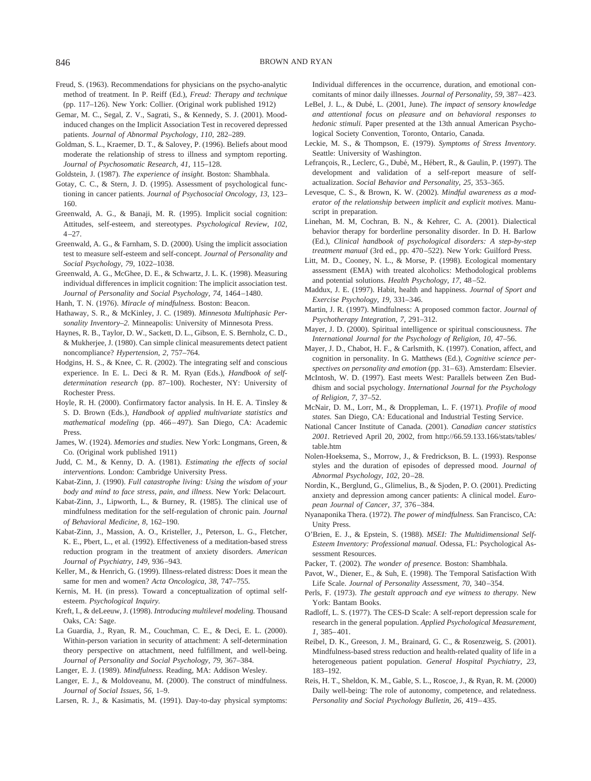- Freud, S. (1963). Recommendations for physicians on the psycho-analytic method of treatment. In P. Reiff (Ed.), *Freud: Therapy and technique* (pp. 117–126). New York: Collier. (Original work published 1912)
- Gemar, M. C., Segal, Z. V., Sagrati, S., & Kennedy, S. J. (2001). Moodinduced changes on the Implicit Association Test in recovered depressed patients. *Journal of Abnormal Psychology, 110,* 282–289.
- Goldman, S. L., Kraemer, D. T., & Salovey, P. (1996). Beliefs about mood moderate the relationship of stress to illness and symptom reporting. *Journal of Psychosomatic Research, 41,* 115–128.
- Goldstein, J. (1987). *The experience of insight.* Boston: Shambhala.
- Gotay, C. C., & Stern, J. D. (1995). Assessment of psychological functioning in cancer patients. *Journal of Psychosocial Oncology, 13,* 123– 160.
- Greenwald, A. G., & Banaji, M. R. (1995). Implicit social cognition: Attitudes, self-esteem, and stereotypes. *Psychological Review, 102,*  $4 - 27$ .
- Greenwald, A. G., & Farnham, S. D. (2000). Using the implicit association test to measure self-esteem and self-concept. *Journal of Personality and Social Psychology, 79,* 1022–1038.
- Greenwald, A. G., McGhee, D. E., & Schwartz, J. L. K. (1998). Measuring individual differences in implicit cognition: The implicit association test. *Journal of Personality and Social Psychology, 74,* 1464–1480.

Hanh, T. N. (1976). *Miracle of mindfulness.* Boston: Beacon.

- Hathaway, S. R., & McKinley, J. C. (1989). *Minnesota Multiphasic Personality Inventory–2.* Minneapolis: University of Minnesota Press.
- Haynes, R. B., Taylor, D. W., Sackett, D. L., Gibson, E. S. Bernholz, C. D., & Mukherjee, J. (1980). Can simple clinical measurements detect patient noncompliance? *Hypertension, 2,* 757–764.
- Hodgins, H. S., & Knee, C. R. (2002). The integrating self and conscious experience. In E. L. Deci & R. M. Ryan (Eds.), *Handbook of selfdetermination research* (pp. 87–100). Rochester, NY: University of Rochester Press.
- Hoyle, R. H. (2000). Confirmatory factor analysis. In H. E. A. Tinsley & S. D. Brown (Eds.), *Handbook of applied multivariate statistics and mathematical modeling* (pp. 466–497). San Diego, CA: Academic Press.
- James, W. (1924). *Memories and studies.* New York: Longmans, Green, & Co. (Original work published 1911)
- Judd, C. M., & Kenny, D. A. (1981). *Estimating the effects of social interventions.* London: Cambridge University Press.
- Kabat-Zinn, J. (1990). *Full catastrophe living: Using the wisdom of your body and mind to face stress, pain, and illness.* New York: Delacourt.
- Kabat-Zinn, J., Lipworth, L., & Burney, R. (1985). The clinical use of mindfulness meditation for the self-regulation of chronic pain. *Journal of Behavioral Medicine, 8,* 162–190.
- Kabat-Zinn, J., Massion, A. O., Kristeller, J., Peterson, L. G., Fletcher, K. E., Pbert, L., et al. (1992). Effectiveness of a meditation-based stress reduction program in the treatment of anxiety disorders. *American Journal of Psychiatry, 149,* 936–943.
- Keller, M., & Henrich, G. (1999). Illness-related distress: Does it mean the same for men and women? *Acta Oncologica, 38,* 747–755.
- Kernis, M. H. (in press). Toward a conceptualization of optimal selfesteem. *Psychological Inquiry.*
- Kreft, I., & deLeeuw, J. (1998). *Introducing multilevel modeling.* Thousand Oaks, CA: Sage.
- La Guardia, J., Ryan, R. M., Couchman, C. E., & Deci, E. L. (2000). Within-person variation in security of attachment: A self-determination theory perspective on attachment, need fulfillment, and well-being. *Journal of Personality and Social Psychology, 79,* 367–384.
- Langer, E. J. (1989). *Mindfulness.* Reading, MA: Addison Wesley.
- Langer, E. J., & Moldoveanu, M. (2000). The construct of mindfulness. *Journal of Social Issues, 56,* 1–9.
- Larsen, R. J., & Kasimatis, M. (1991). Day-to-day physical symptoms:

Individual differences in the occurrence, duration, and emotional concomitants of minor daily illnesses. *Journal of Personality, 59,* 387–423.

- LeBel, J. L., & Dubé, L. (2001, June). *The impact of sensory knowledge and attentional focus on pleasure and on behavioral responses to hedonic stimuli.* Paper presented at the 13th annual American Psychological Society Convention, Toronto, Ontario, Canada.
- Leckie, M. S., & Thompson, E. (1979). *Symptoms of Stress Inventory.* Seattle: University of Washington.
- Lefrançois, R., Leclerc, G., Dubé, M., Hébert, R., & Gaulin, P. (1997). The development and validation of a self-report measure of selfactualization. *Social Behavior and Personality, 25,* 353–365.
- Levesque, C. S., & Brown, K. W. (2002). *Mindful awareness as a moderator of the relationship between implicit and explicit motives.* Manuscript in preparation.
- Linehan, M. M, Cochran, B. N., & Kehrer, C. A. (2001). Dialectical behavior therapy for borderline personality disorder. In D. H. Barlow (Ed.), *Clinical handbook of psychological disorders: A step-by-step treatment manual* (3rd ed., pp. 470–522). New York: Guilford Press.
- Litt, M. D., Cooney, N. L., & Morse, P. (1998). Ecological momentary assessment (EMA) with treated alcoholics: Methodological problems and potential solutions. *Health Psychology, 17,* 48–52.
- Maddux, J. E. (1997). Habit, health and happiness. *Journal of Sport and Exercise Psychology, 19,* 331–346.
- Martin, J. R. (1997). Mindfulness: A proposed common factor. *Journal of Psychotherapy Integration, 7,* 291–312.
- Mayer, J. D. (2000). Spiritual intelligence or spiritual consciousness. *The International Journal for the Psychology of Religion, 10,* 47–56.
- Mayer, J. D., Chabot, H. F., & Carlsmith, K. (1997). Conation, affect, and cognition in personality. In G. Matthews (Ed.), *Cognitive science perspectives on personality and emotion* (pp. 31–63). Amsterdam: Elsevier.
- McIntosh, W. D. (1997). East meets West: Parallels between Zen Buddhism and social psychology. *International Journal for the Psychology of Religion, 7,* 37–52.
- McNair, D. M., Lorr, M., & Droppleman, L. F. (1971). *Profile of mood states.* San Diego, CA: Educational and Industrial Testing Service.
- National Cancer Institute of Canada. (2001). *Canadian cancer statistics 2001.* Retrieved April 20, 2002, from http://66.59.133.166/stats/tables/ table.htm
- Nolen-Hoeksema, S., Morrow, J., & Fredrickson, B. L. (1993). Response styles and the duration of episodes of depressed mood. *Journal of Abnormal Psychology, 102,* 20–28.
- Nordin, K., Berglund, G., Glimelius, B., & Sjoden, P. O. (2001). Predicting anxiety and depression among cancer patients: A clinical model. *European Journal of Cancer, 37,* 376–384.
- Nyanaponika Thera. (1972). *The power of mindfulness.* San Francisco, CA: Unity Press.
- O'Brien, E. J., & Epstein, S. (1988). *MSEI: The Multidimensional Self-Esteem Inventory: Professional manual.* Odessa, FL: Psychological Assessment Resources.
- Packer, T. (2002). *The wonder of presence.* Boston: Shambhala.
- Pavot, W., Diener, E., & Suh, E. (1998). The Temporal Satisfaction With Life Scale. *Journal of Personality Assessment, 70,* 340–354.
- Perls, F. (1973). *The gestalt approach and eye witness to therapy.* New York: Bantam Books.
- Radloff, L. S. (1977). The CES-D Scale: A self-report depression scale for research in the general population. *Applied Psychological Measurement, 1,* 385–401.
- Reibel, D. K., Greeson, J. M., Brainard, G. C., & Rosenzweig, S. (2001). Mindfulness-based stress reduction and health-related quality of life in a heterogeneous patient population. *General Hospital Psychiatry, 23,* 183–192.
- Reis, H. T., Sheldon, K. M., Gable, S. L., Roscoe, J., & Ryan, R. M. (2000) Daily well-being: The role of autonomy, competence, and relatedness. *Personality and Social Psychology Bulletin, 26,* 419–435.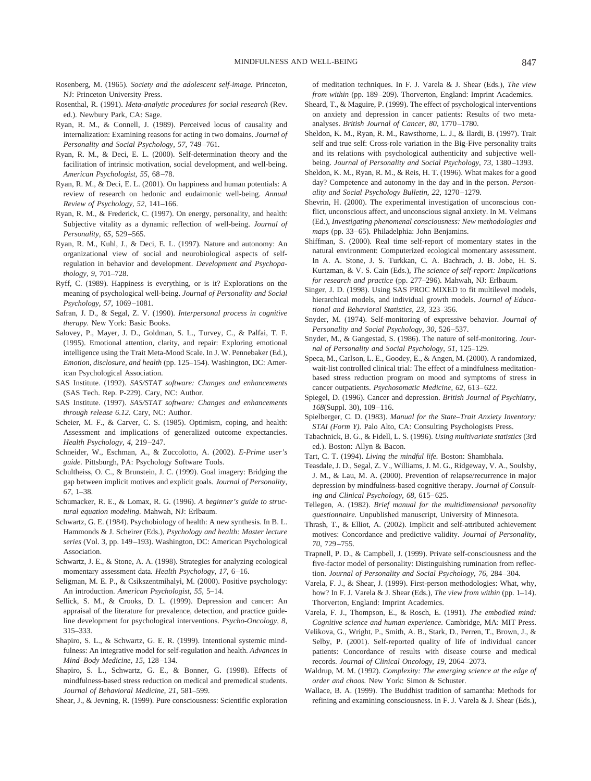- Rosenberg, M. (1965). *Society and the adolescent self-image.* Princeton, NJ: Princeton University Press.
- Rosenthal, R. (1991). *Meta-analytic procedures for social research* (Rev. ed.). Newbury Park, CA: Sage.
- Ryan, R. M., & Connell, J. (1989). Perceived locus of causality and internalization: Examining reasons for acting in two domains. *Journal of Personality and Social Psychology, 57,* 749–761.
- Ryan, R. M., & Deci, E. L. (2000). Self-determination theory and the facilitation of intrinsic motivation, social development, and well-being. *American Psychologist, 55,* 68–78.
- Ryan, R. M., & Deci, E. L. (2001). On happiness and human potentials: A review of research on hedonic and eudaimonic well-being. *Annual Review of Psychology, 52,* 141–166.
- Ryan, R. M., & Frederick, C. (1997). On energy, personality, and health: Subjective vitality as a dynamic reflection of well-being. *Journal of Personality, 65,* 529–565.
- Ryan, R. M., Kuhl, J., & Deci, E. L. (1997). Nature and autonomy: An organizational view of social and neurobiological aspects of selfregulation in behavior and development. *Development and Psychopathology, 9,* 701–728.
- Ryff, C. (1989). Happiness is everything, or is it? Explorations on the meaning of psychological well-being. *Journal of Personality and Social Psychology, 57,* 1069–1081.
- Safran, J. D., & Segal, Z. V. (1990). *Interpersonal process in cognitive therapy.* New York: Basic Books.
- Salovey, P., Mayer, J. D., Goldman, S. L., Turvey, C., & Palfai, T. F. (1995). Emotional attention, clarity, and repair: Exploring emotional intelligence using the Trait Meta-Mood Scale. In J. W. Pennebaker (Ed.), *Emotion, disclosure, and health* (pp. 125–154). Washington, DC: American Psychological Association.
- SAS Institute. (1992). *SAS/STAT software: Changes and enhancements* (SAS Tech. Rep. P-229)*.* Cary, NC: Author.
- SAS Institute. (1997). *SAS/STAT software: Changes and enhancements through release 6.12.* Cary, NC: Author.
- Scheier, M. F., & Carver, C. S. (1985). Optimism, coping, and health: Assessment and implications of generalized outcome expectancies. *Health Psychology, 4,* 219–247.
- Schneider, W., Eschman, A., & Zuccolotto, A. (2002). *E-Prime user's guide.* Pittsburgh, PA: Psychology Software Tools.
- Schultheiss, O. C., & Brunstein, J. C. (1999). Goal imagery: Bridging the gap between implicit motives and explicit goals. *Journal of Personality, 67,* 1–38.
- Schumacker, R. E., & Lomax, R. G. (1996). *A beginner's guide to structural equation modeling.* Mahwah, NJ: Erlbaum.
- Schwartz, G. E. (1984). Psychobiology of health: A new synthesis. In B. L. Hammonds & J. Scheirer (Eds.), *Psychology and health: Master lecture series* (Vol. 3, pp. 149–193). Washington, DC: American Psychological Association.
- Schwartz, J. E., & Stone, A. A. (1998). Strategies for analyzing ecological momentary assessment data. *Health Psychology, 17,* 6–16.
- Seligman, M. E. P., & Csikszentmihalyi, M. (2000). Positive psychology: An introduction. *American Psychologist, 55,* 5–14.
- Sellick, S. M., & Crooks, D. L. (1999). Depression and cancer: An appraisal of the literature for prevalence, detection, and practice guideline development for psychological interventions. *Psycho-Oncology, 8,* 315–333.
- Shapiro, S. L., & Schwartz, G. E. R. (1999). Intentional systemic mindfulness: An integrative model for self-regulation and health. *Advances in Mind–Body Medicine, 15,* 128–134.
- Shapiro, S. L., Schwartz, G. E., & Bonner, G. (1998). Effects of mindfulness-based stress reduction on medical and premedical students. *Journal of Behavioral Medicine, 21,* 581–599.

Shear, J., & Jevning, R. (1999). Pure consciousness: Scientific exploration

of meditation techniques. In F. J. Varela & J. Shear (Eds.), *The view from within* (pp. 189–209). Thorverton, England: Imprint Academics.

- Sheard, T., & Maguire, P. (1999). The effect of psychological interventions on anxiety and depression in cancer patients: Results of two metaanalyses. *British Journal of Cancer, 80,* 1770–1780.
- Sheldon, K. M., Ryan, R. M., Rawsthorne, L. J., & Ilardi, B. (1997). Trait self and true self: Cross-role variation in the Big-Five personality traits and its relations with psychological authenticity and subjective wellbeing. *Journal of Personality and Social Psychology, 73,* 1380–1393.
- Sheldon, K. M., Ryan, R. M., & Reis, H. T. (1996). What makes for a good day? Competence and autonomy in the day and in the person. *Personality and Social Psychology Bulletin, 22,* 1270–1279.
- Shevrin, H. (2000). The experimental investigation of unconscious conflict, unconscious affect, and unconscious signal anxiety. In M. Velmans (Ed.), *Investigating phenomenal consciousness: New methodologies and maps* (pp. 33–65). Philadelphia: John Benjamins.
- Shiffman, S. (2000). Real time self-report of momentary states in the natural environment: Computerized ecological momentary assessment. In A. A. Stone, J. S. Turkkan, C. A. Bachrach, J. B. Jobe, H. S. Kurtzman, & V. S. Cain (Eds.), *The science of self-report: Implications for research and practice* (pp. 277–296). Mahwah, NJ: Erlbaum.
- Singer, J. D. (1998). Using SAS PROC MIXED to fit multilevel models, hierarchical models, and individual growth models. *Journal of Educational and Behavioral Statistics, 23,* 323–356.
- Snyder, M. (1974). Self-monitoring of expressive behavior. *Journal of Personality and Social Psychology, 30,* 526–537.
- Snyder, M., & Gangestad, S. (1986). The nature of self-monitoring. *Journal of Personality and Social Psychology, 51,* 125–129.
- Speca, M., Carlson, L. E., Goodey, E., & Angen, M. (2000). A randomized, wait-list controlled clinical trial: The effect of a mindfulness meditationbased stress reduction program on mood and symptoms of stress in cancer outpatients. *Psychosomatic Medicine, 62,* 613–622.
- Spiegel, D. (1996). Cancer and depression. *British Journal of Psychiatry, 168*(Suppl. 30), 109–116.
- Spielberger, C. D. (1983). *Manual for the State–Trait Anxiety Inventory: STAI (Form Y).* Palo Alto, CA: Consulting Psychologists Press.
- Tabachnick, B. G., & Fidell, L. S. (1996). *Using multivariate statistics* (3rd ed.). Boston: Allyn & Bacon.
- Tart, C. T. (1994). *Living the mindful life.* Boston: Shambhala.
- Teasdale, J. D., Segal, Z. V., Williams, J. M. G., Ridgeway, V. A., Soulsby, J. M., & Lau, M. A. (2000). Prevention of relapse/recurrence in major depression by mindfulness-based cognitive therapy. *Journal of Consulting and Clinical Psychology, 68,* 615–625.
- Tellegen, A. (1982). *Brief manual for the multidimensional personality questionnaire.* Unpublished manuscript, University of Minnesota.
- Thrash, T., & Elliot, A. (2002). Implicit and self-attributed achievement motives: Concordance and predictive validity. *Journal of Personality, 70,* 729–755.
- Trapnell, P. D., & Campbell, J. (1999). Private self-consciousness and the five-factor model of personality: Distinguishing rumination from reflection. *Journal of Personality and Social Psychology, 76,* 284–304.
- Varela, F. J., & Shear, J. (1999). First-person methodologies: What, why, how? In F. J. Varela & J. Shear (Eds.), *The view from within* (pp. 1–14). Thorverton, England: Imprint Academics.
- Varela, F. J., Thompson, E., & Rosch, E. (1991)*. The embodied mind: Cognitive science and human experience.* Cambridge, MA: MIT Press.
- Velikova, G., Wright, P., Smith, A. B., Stark, D., Perren, T., Brown, J., & Selby, P. (2001). Self-reported quality of life of individual cancer patients: Concordance of results with disease course and medical records. *Journal of Clinical Oncology, 19,* 2064–2073.
- Waldrup, M. M. (1992). *Complexity: The emerging science at the edge of order and chaos.* New York: Simon & Schuster.
- Wallace, B. A. (1999). The Buddhist tradition of samantha: Methods for refining and examining consciousness. In F. J. Varela & J. Shear (Eds.),